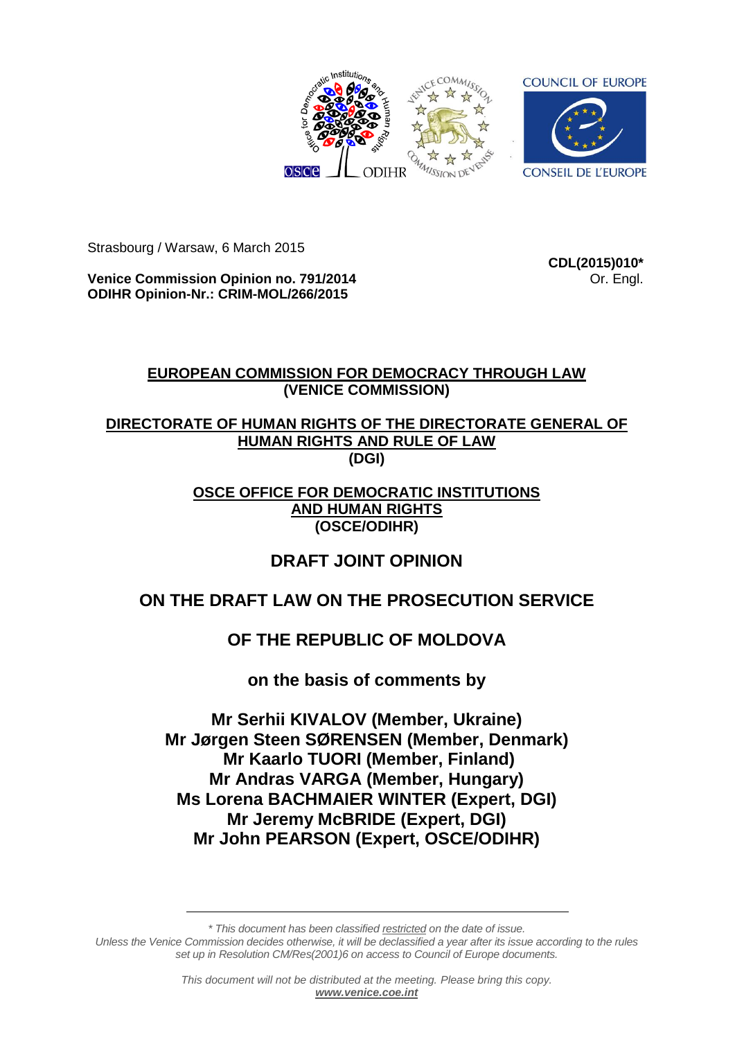

Strasbourg / Warsaw, 6 March 2015

**Venice Commission Opinion no. 791/2014 ODIHR Opinion-Nr.: CRIM-MOL/266/2015**

**CDL(2015)010\*** Or. Engl.

# **EUROPEAN COMMISSION FOR DEMOCRACY THROUGH LAW (VENICE COMMISSION)**

# **DIRECTORATE OF HUMAN RIGHTS OF THE DIRECTORATE GENERAL OF HUMAN RIGHTS AND RULE OF LAW (DGI)**

# **OSCE OFFICE FOR DEMOCRATIC INSTITUTIONS AND HUMAN RIGHTS (OSCE/ODIHR)**

# **DRAFT JOINT OPINION**

# **ON THE DRAFT LAW ON THE PROSECUTION SERVICE**

# **OF THE REPUBLIC OF MOLDOVA**

# **on the basis of comments by**

**Mr Serhii KIVALOV (Member, Ukraine) Mr Jørgen Steen SØRENSEN (Member, Denmark) Mr Kaarlo TUORI (Member, Finland) Mr Andras VARGA (Member, Hungary) Ms Lorena BACHMAIER WINTER (Expert, DGI) Mr Jeremy McBRIDE (Expert, DGI) Mr John PEARSON (Expert, OSCE/ODIHR)**

*\* This document has been classified restricted on the date of issue. Unless the Venice Commission decides otherwise, it will be declassified a year after its issue according to the rules set up in Resolution CM/Res(2001)6 on access to Council of Europe documents.*

> *This document will not be distributed at the meeting. Please bring this copy. [www.venice.coe.int](http://www.venice.coe.int/)*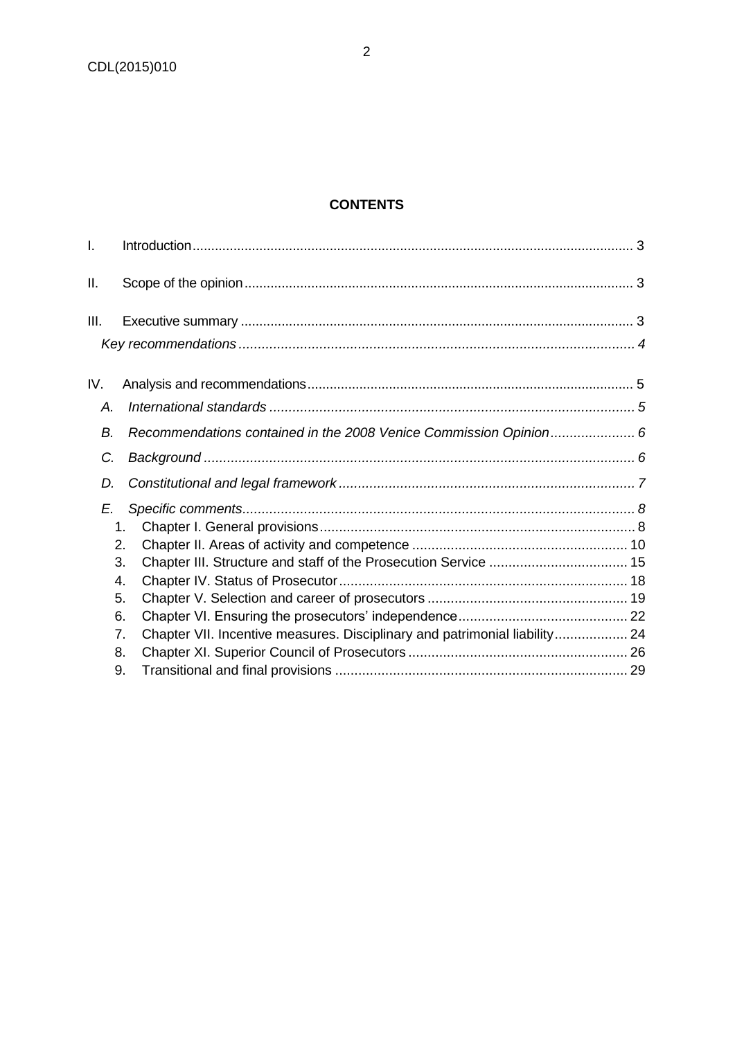# **CONTENTS**

| I.   |                                                                                  |  |
|------|----------------------------------------------------------------------------------|--|
| Ш.   |                                                                                  |  |
| III. |                                                                                  |  |
|      |                                                                                  |  |
| IV.  |                                                                                  |  |
| Α.   |                                                                                  |  |
| В.   | Recommendations contained in the 2008 Venice Commission Opinion 6                |  |
| C.   |                                                                                  |  |
| D.   |                                                                                  |  |
| E.   |                                                                                  |  |
|      | 1.                                                                               |  |
|      | 2.                                                                               |  |
|      | 3.                                                                               |  |
|      | 4.                                                                               |  |
|      | 5.                                                                               |  |
|      | 6.                                                                               |  |
|      | Chapter VII. Incentive measures. Disciplinary and patrimonial liability 24<br>7. |  |
|      | 8.                                                                               |  |
|      | 9.                                                                               |  |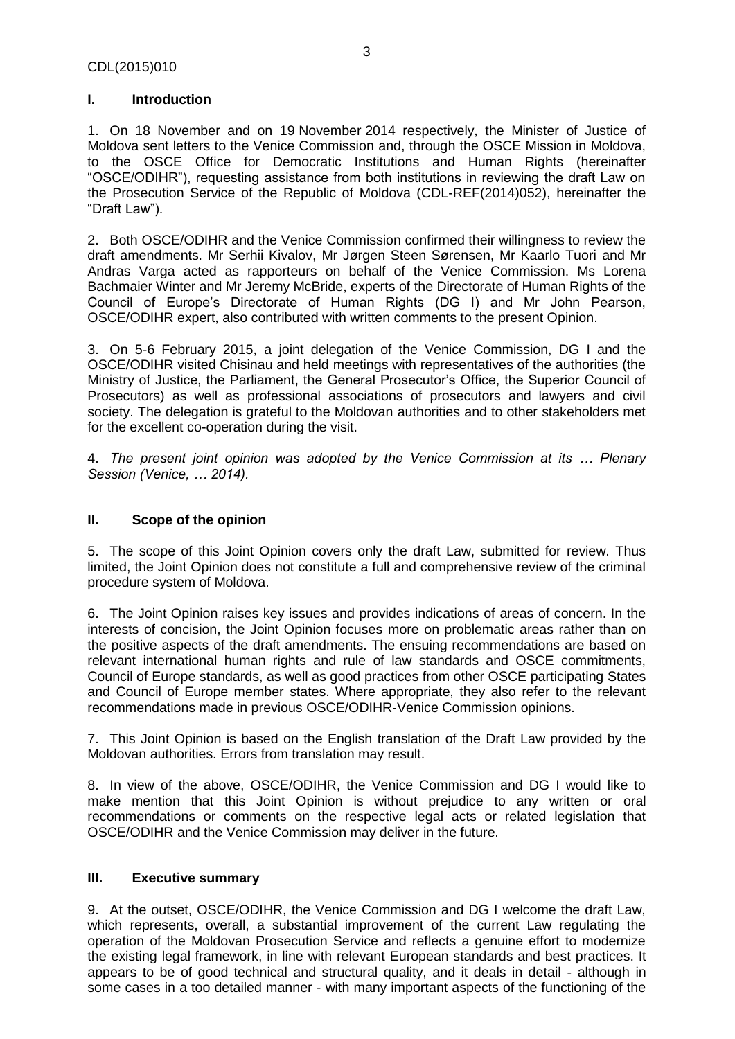# <span id="page-2-0"></span>**I. Introduction**

1. On 18 November and on 19 November 2014 respectively, the Minister of Justice of Moldova sent letters to the Venice Commission and, through the OSCE Mission in Moldova, to the OSCE Office for Democratic Institutions and Human Rights (hereinafter "OSCE/ODIHR"), requesting assistance from both institutions in reviewing the draft Law on the Prosecution Service of the Republic of Moldova (CDL-REF(2014)052), hereinafter the "Draft Law").

2. Both OSCE/ODIHR and the Venice Commission confirmed their willingness to review the draft amendments. Mr Serhii Kivalov, Mr Jørgen Steen Sørensen, Mr Kaarlo Tuori and Mr Andras Varga acted as rapporteurs on behalf of the Venice Commission. Ms Lorena Bachmaier Winter and Mr Jeremy McBride, experts of the Directorate of Human Rights of the Council of Europe's Directorate of Human Rights (DG I) and Mr John Pearson, OSCE/ODIHR expert, also contributed with written comments to the present Opinion.

3. On 5-6 February 2015, a joint delegation of the Venice Commission, DG I and the OSCE/ODIHR visited Chisinau and held meetings with representatives of the authorities (the Ministry of Justice, the Parliament, the General Prosecutor's Office, the Superior Council of Prosecutors) as well as professional associations of prosecutors and lawyers and civil society. The delegation is grateful to the Moldovan authorities and to other stakeholders met for the excellent co-operation during the visit.

4. *The present joint opinion was adopted by the Venice Commission at its … Plenary Session (Venice, … 2014).* 

## <span id="page-2-1"></span>**II. Scope of the opinion**

5. The scope of this Joint Opinion covers only the draft Law, submitted for review. Thus limited, the Joint Opinion does not constitute a full and comprehensive review of the criminal procedure system of Moldova.

6. The Joint Opinion raises key issues and provides indications of areas of concern. In the interests of concision, the Joint Opinion focuses more on problematic areas rather than on the positive aspects of the draft amendments. The ensuing recommendations are based on relevant international human rights and rule of law standards and OSCE commitments, Council of Europe standards, as well as good practices from other OSCE participating States and Council of Europe member states. Where appropriate, they also refer to the relevant recommendations made in previous OSCE/ODIHR-Venice Commission opinions.

7. This Joint Opinion is based on the English translation of the Draft Law provided by the Moldovan authorities. Errors from translation may result.

8. In view of the above, OSCE/ODIHR, the Venice Commission and DG I would like to make mention that this Joint Opinion is without prejudice to any written or oral recommendations or comments on the respective legal acts or related legislation that OSCE/ODIHR and the Venice Commission may deliver in the future.

# <span id="page-2-2"></span>**III. Executive summary**

9. At the outset, OSCE/ODIHR, the Venice Commission and DG I welcome the draft Law, which represents, overall, a substantial improvement of the current Law regulating the operation of the Moldovan Prosecution Service and reflects a genuine effort to modernize the existing legal framework, in line with relevant European standards and best practices. It appears to be of good technical and structural quality, and it deals in detail - although in some cases in a too detailed manner - with many important aspects of the functioning of the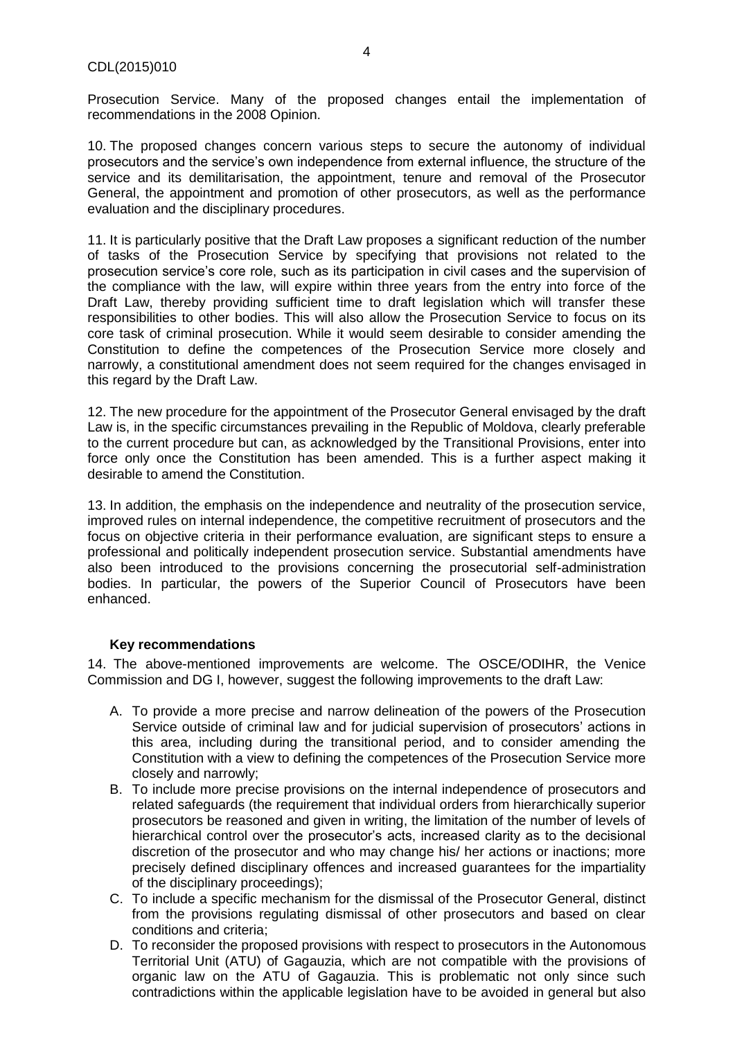Prosecution Service. Many of the proposed changes entail the implementation of recommendations in the 2008 Opinion.

10. The proposed changes concern various steps to secure the autonomy of individual prosecutors and the service's own independence from external influence, the structure of the service and its demilitarisation, the appointment, tenure and removal of the Prosecutor General, the appointment and promotion of other prosecutors, as well as the performance evaluation and the disciplinary procedures.

11. It is particularly positive that the Draft Law proposes a significant reduction of the number of tasks of the Prosecution Service by specifying that provisions not related to the prosecution service's core role, such as its participation in civil cases and the supervision of the compliance with the law, will expire within three years from the entry into force of the Draft Law, thereby providing sufficient time to draft legislation which will transfer these responsibilities to other bodies. This will also allow the Prosecution Service to focus on its core task of criminal prosecution. While it would seem desirable to consider amending the Constitution to define the competences of the Prosecution Service more closely and narrowly, a constitutional amendment does not seem required for the changes envisaged in this regard by the Draft Law.

12. The new procedure for the appointment of the Prosecutor General envisaged by the draft Law is, in the specific circumstances prevailing in the Republic of Moldova, clearly preferable to the current procedure but can, as acknowledged by the Transitional Provisions, enter into force only once the Constitution has been amended. This is a further aspect making it desirable to amend the Constitution.

13. In addition, the emphasis on the independence and neutrality of the prosecution service, improved rules on internal independence, the competitive recruitment of prosecutors and the focus on objective criteria in their performance evaluation, are significant steps to ensure a professional and politically independent prosecution service. Substantial amendments have also been introduced to the provisions concerning the prosecutorial self-administration bodies. In particular, the powers of the Superior Council of Prosecutors have been enhanced.

#### <span id="page-3-0"></span>**Key recommendations**

14. The above-mentioned improvements are welcome. The OSCE/ODIHR, the Venice Commission and DG I, however, suggest the following improvements to the draft Law:

- A. To provide a more precise and narrow delineation of the powers of the Prosecution Service outside of criminal law and for judicial supervision of prosecutors' actions in this area, including during the transitional period, and to consider amending the Constitution with a view to defining the competences of the Prosecution Service more closely and narrowly;
- B. To include more precise provisions on the internal independence of prosecutors and related safeguards (the requirement that individual orders from hierarchically superior prosecutors be reasoned and given in writing, the limitation of the number of levels of hierarchical control over the prosecutor's acts, increased clarity as to the decisional discretion of the prosecutor and who may change his/ her actions or inactions; more precisely defined disciplinary offences and increased guarantees for the impartiality of the disciplinary proceedings);
- C. To include a specific mechanism for the dismissal of the Prosecutor General, distinct from the provisions regulating dismissal of other prosecutors and based on clear conditions and criteria;
- D. To reconsider the proposed provisions with respect to prosecutors in the Autonomous Territorial Unit (ATU) of Gagauzia, which are not compatible with the provisions of organic law on the ATU of Gagauzia. This is problematic not only since such contradictions within the applicable legislation have to be avoided in general but also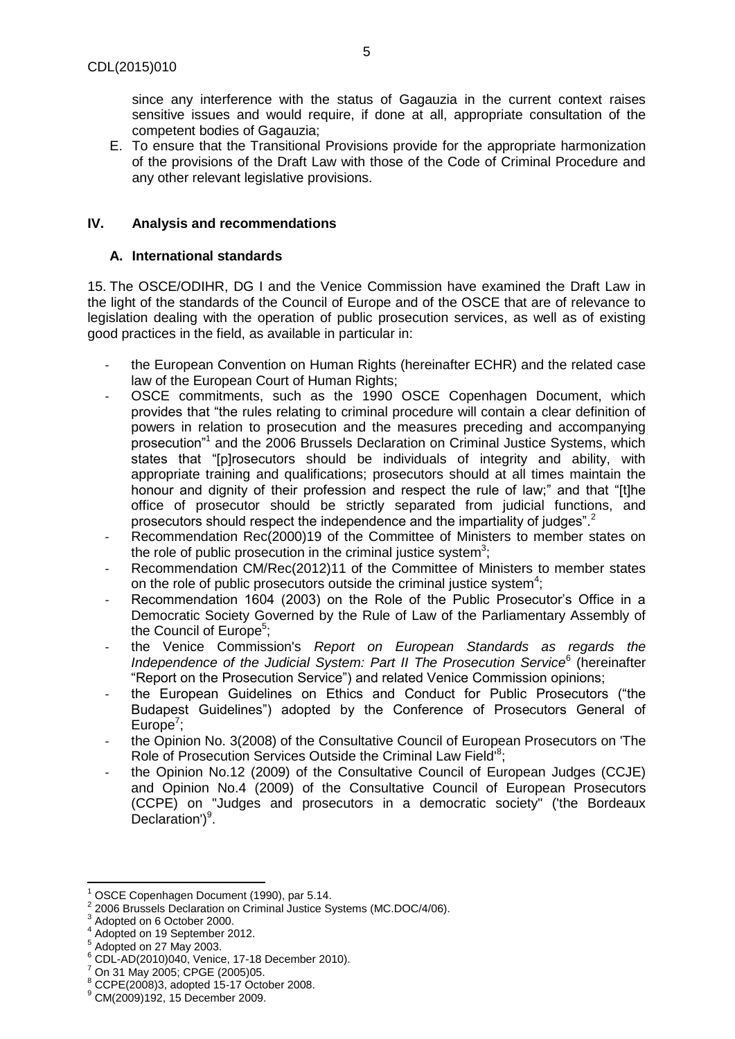since any interference with the status of Gagauzia in the current context raises sensitive issues and would require, if done at all, appropriate consultation of the competent bodies of Gagauzia;

E. To ensure that the Transitional Provisions provide for the appropriate harmonization of the provisions of the Draft Law with those of the Code of Criminal Procedure and any other relevant legislative provisions.

## <span id="page-4-0"></span>**IV. Analysis and recommendations**

### <span id="page-4-1"></span>**A. International standards**

15. The OSCE/ODIHR, DG I and the Venice Commission have examined the Draft Law in the light of the standards of the Council of Europe and of the OSCE that are of relevance to legislation dealing with the operation of public prosecution services, as well as of existing good practices in the field, as available in particular in:

- the European Convention on Human Rights (hereinafter ECHR) and the related case law of the European Court of Human Rights;
- OSCE commitments, such as the 1990 OSCE Copenhagen Document, which provides that "the rules relating to criminal procedure will contain a clear definition of powers in relation to prosecution and the measures preceding and accompanying prosecution"<sup>1</sup> and the 2006 Brussels Declaration on Criminal Justice Systems, which states that "[p]rosecutors should be individuals of integrity and ability, with appropriate training and qualifications; prosecutors should at all times maintain the honour and dignity of their profession and respect the rule of law;" and that "[t]he office of prosecutor should be strictly separated from judicial functions, and prosecutors should respect the independence and the impartiality of judges".<sup>2</sup>
- Recommendation Rec(2000)19 of the Committee of Ministers to member states on the role of public prosecution in the criminal justice system<sup>3</sup>;
- Recommendation CM/Rec(2012)11 of the Committee of Ministers to member states on the role of public prosecutors outside the criminal justice system<sup>4</sup>;
- Recommendation 1604 (2003) on the Role of the Public Prosecutor's Office in a Democratic Society Governed by the Rule of Law of the Parliamentary Assembly of the Council of Europe<sup>5</sup>;
- the Venice Commission's *Report on European Standards as regards the*  Independence of the Judicial System: Part II The Prosecution Service<sup>6</sup> (hereinafter "Report on the Prosecution Service") and related Venice Commission opinions;
- the European Guidelines on Ethics and Conduct for Public Prosecutors ("the Budapest Guidelines") adopted by the Conference of Prosecutors General of Europe<sup>7</sup>;
- the Opinion No. 3(2008) of the Consultative Council of European Prosecutors on 'The Role of Prosecution Services Outside the Criminal Law Field<sup>18</sup>;
- the Opinion No.12 (2009) of the Consultative Council of European Judges (CCJE) and Opinion No.4 (2009) of the Consultative Council of European Prosecutors (CCPE) on "Judges and prosecutors in a democratic society" ('the Bordeaux  $Declaration'$ <sup>9</sup>.

l

OSCE Copenhagen Document (1990), par 5.14.

<sup>2</sup> 2006 Brussels Declaration on Criminal Justice Systems (MC.DOC/4/06).

<sup>3</sup> Adopted on 6 October 2000.

<sup>4</sup> Adopted on 19 September 2012.

<sup>5</sup> Adopted on 27 May 2003.

<sup>6</sup> CDL-AD(2010)040, Venice, 17-18 December 2010).

<sup>7</sup> On 31 May 2005; CPGE (2005)05.

<sup>8</sup> CCPE(2008)3, adopted 15-17 October 2008.

<sup>9</sup> CM(2009)192, 15 December 2009.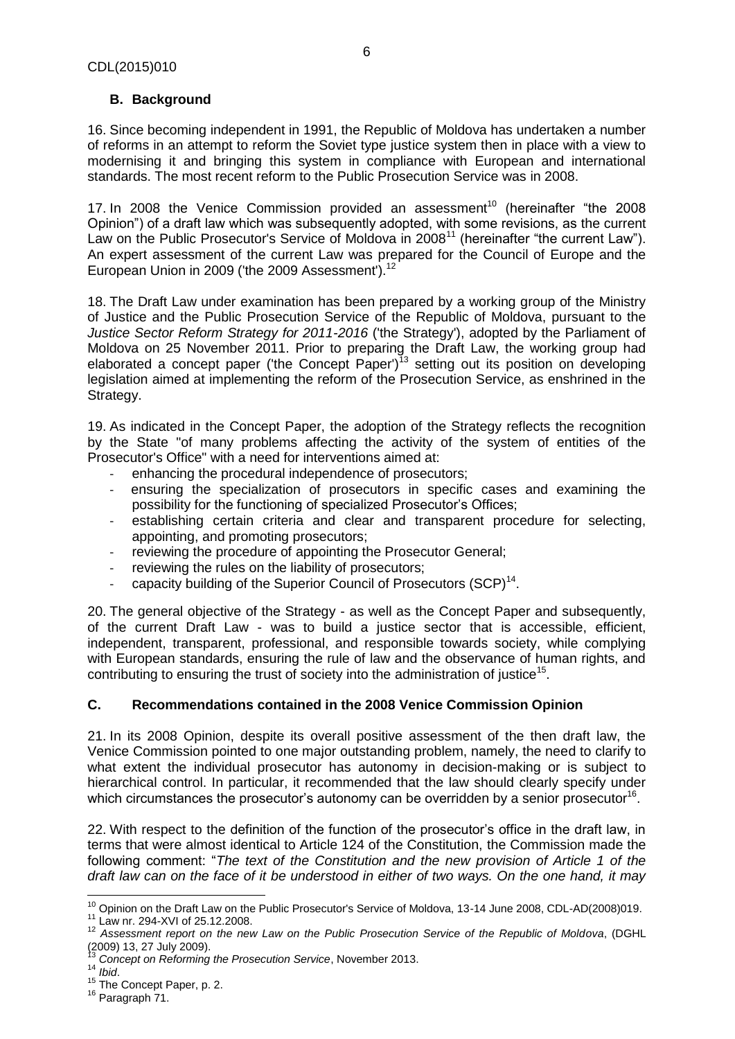# <span id="page-5-0"></span>**B. Background**

16. Since becoming independent in 1991, the Republic of Moldova has undertaken a number of reforms in an attempt to reform the Soviet type justice system then in place with a view to modernising it and bringing this system in compliance with European and international standards. The most recent reform to the Public Prosecution Service was in 2008.

17. In 2008 the Venice Commission provided an assessment<sup>10</sup> (hereinafter "the 2008 Opinion") of a draft law which was subsequently adopted, with some revisions, as the current Law on the Public Prosecutor's Service of Moldova in 2008<sup>11</sup> (hereinafter "the current Law"). An expert assessment of the current Law was prepared for the Council of Europe and the European Union in 2009 ('the 2009 Assessment').<sup>12</sup>

18. The Draft Law under examination has been prepared by a working group of the Ministry of Justice and the Public Prosecution Service of the Republic of Moldova, pursuant to the *Justice Sector Reform Strategy for 2011-2016* ('the Strategy'), adopted by the Parliament of Moldova on 25 November 2011. Prior to preparing the Draft Law, the working group had elaborated a concept paper ('the Concept Paper')<sup>13</sup> setting out its position on developing legislation aimed at implementing the reform of the Prosecution Service, as enshrined in the Strategy.

19. As indicated in the Concept Paper, the adoption of the Strategy reflects the recognition by the State "of many problems affecting the activity of the system of entities of the Prosecutor's Office" with a need for interventions aimed at:

- enhancing the procedural independence of prosecutors;
- ensuring the specialization of prosecutors in specific cases and examining the possibility for the functioning of specialized Prosecutor's Offices;
- establishing certain criteria and clear and transparent procedure for selecting, appointing, and promoting prosecutors;
- reviewing the procedure of appointing the Prosecutor General;
- reviewing the rules on the liability of prosecutors;
- capacity building of the Superior Council of Prosecutors  $(SCP)^{14}$ .

20. The general objective of the Strategy - as well as the Concept Paper and subsequently, of the current Draft Law - was to build a justice sector that is accessible, efficient, independent, transparent, professional, and responsible towards society, while complying with European standards, ensuring the rule of law and the observance of human rights, and contributing to ensuring the trust of society into the administration of justice<sup>15</sup>.

# **C. Recommendations contained in the 2008 Venice Commission Opinion**

21. In its 2008 Opinion, despite its overall positive assessment of the then draft law, the Venice Commission pointed to one major outstanding problem, namely, the need to clarify to what extent the individual prosecutor has autonomy in decision-making or is subject to hierarchical control. In particular, it recommended that the law should clearly specify under which circumstances the prosecutor's autonomy can be overridden by a senior prosecutor<sup>16</sup>.

22. With respect to the definition of the function of the prosecutor's office in the draft law, in terms that were almost identical to Article 124 of the Constitution, the Commission made the following comment: "*The text of the Constitution and the new provision of Article 1 of the draft law can on the face of it be understood in either of two ways. On the one hand, it may* 

 $\overline{\phantom{a}}$ <sup>10</sup> Opinion on the Draft Law on the Public Prosecutor's Service of Moldova, 13-14 June 2008, CDL-AD(2008)019.

 $11$  Law nr. 294-XVI of 25.12.2008.

<sup>12</sup> *Assessment report on the new Law on the Public Prosecution Service of the Republic of Moldova*, (DGHL  $(2009)$  13, 27 July 2009).

<sup>13</sup> *Concept on Reforming the Prosecution Service*, November 2013.

<sup>14</sup> *Ibid*.

<sup>&</sup>lt;sup>15</sup> The Concept Paper, p. 2.

<sup>&</sup>lt;sup>16</sup> Paragraph 71.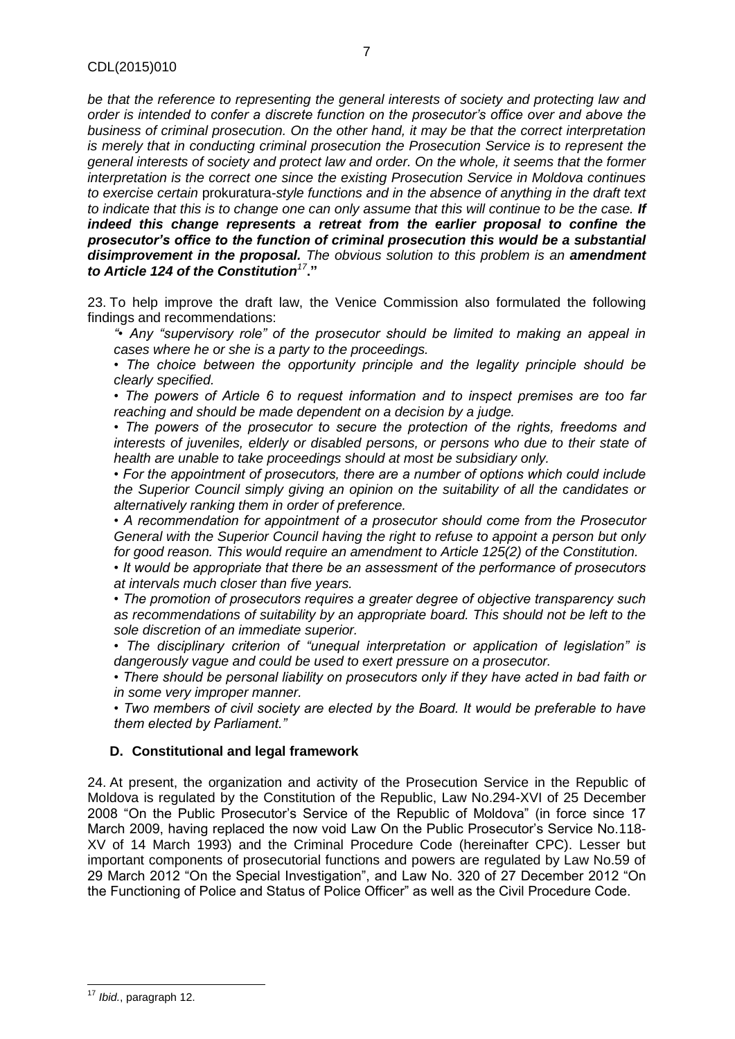*be that the reference to representing the general interests of society and protecting law and order is intended to confer a discrete function on the prosecutor's office over and above the business of criminal prosecution. On the other hand, it may be that the correct interpretation is merely that in conducting criminal prosecution the Prosecution Service is to represent the general interests of society and protect law and order. On the whole, it seems that the former interpretation is the correct one since the existing Prosecution Service in Moldova continues to exercise certain* prokuratura*-style functions and in the absence of anything in the draft text to indicate that this is to change one can only assume that this will continue to be the case. If indeed this change represents a retreat from the earlier proposal to confine the prosecutor's office to the function of criminal prosecution this would be a substantial disimprovement in the proposal. The obvious solution to this problem is an amendment to Article 124 of the Constitution<sup>17</sup>***."**

23. To help improve the draft law, the Venice Commission also formulated the following findings and recommendations:

*"• Any "supervisory role" of the prosecutor should be limited to making an appeal in cases where he or she is a party to the proceedings.* 

*• The choice between the opportunity principle and the legality principle should be clearly specified.* 

*• The powers of Article 6 to request information and to inspect premises are too far reaching and should be made dependent on a decision by a judge.* 

*• The powers of the prosecutor to secure the protection of the rights, freedoms and interests of juveniles, elderly or disabled persons, or persons who due to their state of health are unable to take proceedings should at most be subsidiary only.* 

*• For the appointment of prosecutors, there are a number of options which could include the Superior Council simply giving an opinion on the suitability of all the candidates or alternatively ranking them in order of preference.* 

*• A recommendation for appointment of a prosecutor should come from the Prosecutor General with the Superior Council having the right to refuse to appoint a person but only for good reason. This would require an amendment to Article 125(2) of the Constitution.* 

*• It would be appropriate that there be an assessment of the performance of prosecutors at intervals much closer than five years.* 

*• The promotion of prosecutors requires a greater degree of objective transparency such as recommendations of suitability by an appropriate board. This should not be left to the sole discretion of an immediate superior.* 

*• The disciplinary criterion of "unequal interpretation or application of legislation" is dangerously vague and could be used to exert pressure on a prosecutor.* 

*• There should be personal liability on prosecutors only if they have acted in bad faith or in some very improper manner.* 

*• Two members of civil society are elected by the Board. It would be preferable to have them elected by Parliament."*

#### <span id="page-6-0"></span>**D. Constitutional and legal framework**

24. At present, the organization and activity of the Prosecution Service in the Republic of Moldova is regulated by the Constitution of the Republic, Law No.294-XVI of 25 December 2008 "On the Public Prosecutor's Service of the Republic of Moldova" (in force since 17 March 2009, having replaced the now void Law On the Public Prosecutor's Service No.118- XV of 14 March 1993) and the Criminal Procedure Code (hereinafter CPC). Lesser but important components of prosecutorial functions and powers are regulated by Law No.59 of 29 March 2012 "On the Special Investigation", and Law No. 320 of 27 December 2012 "On the Functioning of Police and Status of Police Officer" as well as the Civil Procedure Code.

 $\overline{\phantom{a}}$ <sup>17</sup> *Ibid.*, paragraph 12.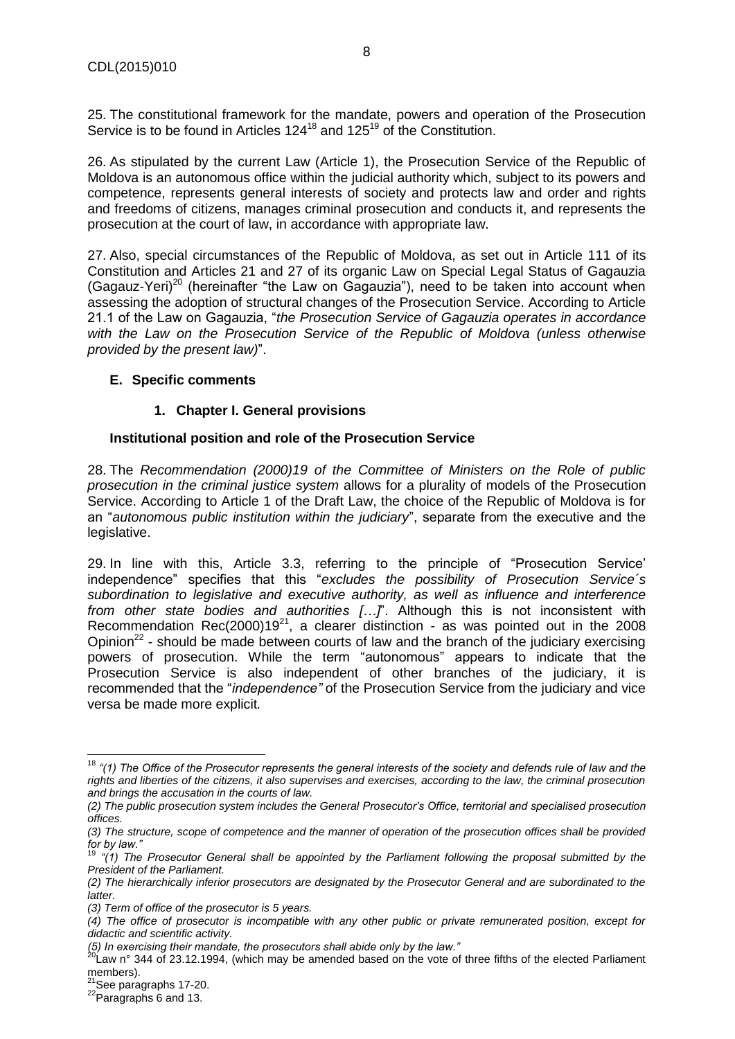25. The constitutional framework for the mandate, powers and operation of the Prosecution Service is to be found in Articles 124<sup>18</sup> and 125<sup>19</sup> of the Constitution.

26. As stipulated by the current Law (Article 1), the Prosecution Service of the Republic of Moldova is an autonomous office within the judicial authority which, subject to its powers and competence, represents general interests of society and protects law and order and rights and freedoms of citizens, manages criminal prosecution and conducts it, and represents the prosecution at the court of law, in accordance with appropriate law.

27. Also, special circumstances of the Republic of Moldova, as set out in Article 111 of its Constitution and Articles 21 and 27 of its organic Law on Special Legal Status of Gagauzia  $(Gaqauz-Yeri)<sup>20</sup>$  (hereinafter "the Law on Gagauzia"), need to be taken into account when assessing the adoption of structural changes of the Prosecution Service. According to Article 21.1 of the Law on Gagauzia, "*the Prosecution Service of Gagauzia operates in accordance with the Law on the Prosecution Service of the Republic of Moldova (unless otherwise provided by the present law)*".

# <span id="page-7-1"></span><span id="page-7-0"></span>**E. Specific comments**

# **1. Chapter I. General provisions**

# **Institutional position and role of the Prosecution Service**

28. The *Recommendation (2000)19 of the Committee of Ministers on the Role of public prosecution in the criminal justice system* allows for a plurality of models of the Prosecution Service. According to Article 1 of the Draft Law, the choice of the Republic of Moldova is for an "*autonomous public institution within the judiciary*", separate from the executive and the legislative.

29. In line with this, Article 3.3, referring to the principle of "Prosecution Service' independence" specifies that this "*excludes the possibility of Prosecution Service´s subordination to legislative and executive authority, as well as influence and interference from other state bodies and authorities […]*". Although this is not inconsistent with Recommendation Rec(2000)19 $^{21}$ , a clearer distinction - as was pointed out in the 2008 Opinion<sup>22</sup> - should be made between courts of law and the branch of the judiciary exercising powers of prosecution. While the term "autonomous" appears to indicate that the Prosecution Service is also independent of other branches of the judiciary, it is recommended that the "*independence"* of the Prosecution Service from the judiciary and vice versa be made more explicit*.*

 $\overline{a}$ <sup>18</sup> *"(1) The Office of the Prosecutor represents the general interests of the society and defends rule of law and the rights and liberties of the citizens, it also supervises and exercises, according to the law, the criminal prosecution and brings the accusation in the courts of law.* 

*<sup>(2)</sup> The public prosecution system includes the General Prosecutor's Office, territorial and specialised prosecution offices.* 

*<sup>(3)</sup> The structure, scope of competence and the manner of operation of the prosecution offices shall be provided for by law."*

<sup>19</sup> *"(1) The Prosecutor General shall be appointed by the Parliament following the proposal submitted by the President of the Parliament.* 

*<sup>(2)</sup> The hierarchically inferior prosecutors are designated by the Prosecutor General and are subordinated to the latter.* 

*<sup>(3)</sup> Term of office of the prosecutor is 5 years.* 

*<sup>(4)</sup> The office of prosecutor is incompatible with any other public or private remunerated position, except for didactic and scientific activity.* 

*<sup>(5)</sup> In exercising their mandate, the prosecutors shall abide only by the law."*

<sup>&</sup>lt;sup>20</sup>Law n° 344 of 23.12.1994, (which may be amended based on the vote of three fifths of the elected Parliament members).

 $21$ See paragraphs 17-20.

 $^{22}$ Paragraphs 6 and 13.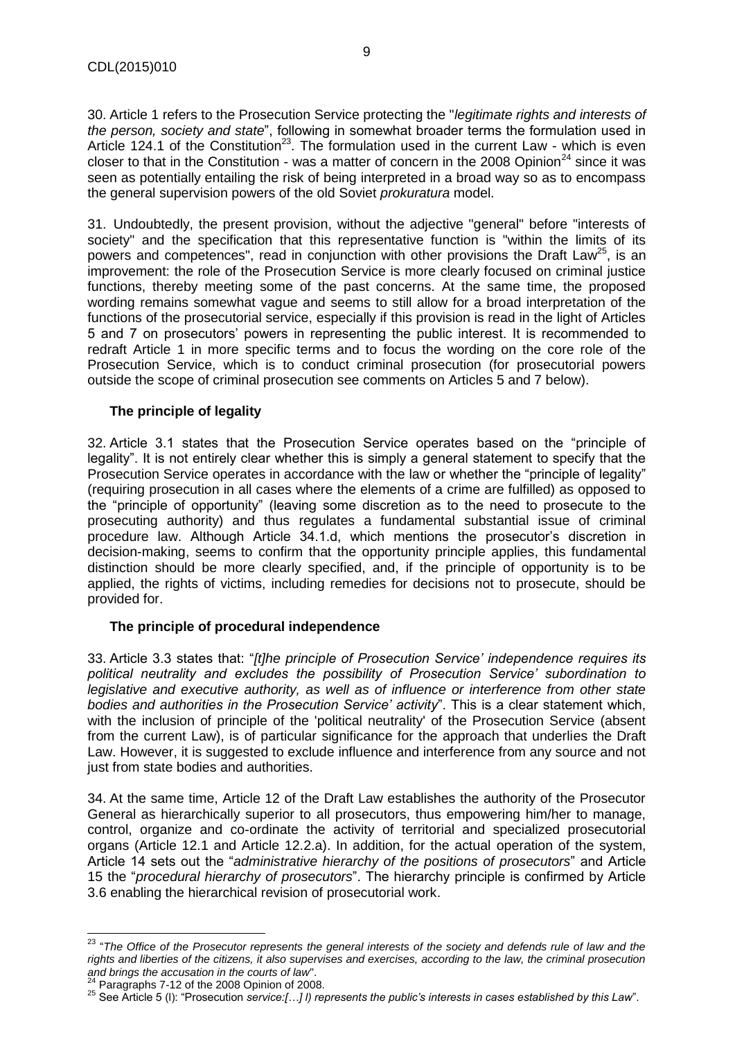30. Article 1 refers to the Prosecution Service protecting the "*legitimate rights and interests of the person, society and state*", following in somewhat broader terms the formulation used in Article 124.1 of the Constitution<sup>23</sup>. The formulation used in the current Law - which is even closer to that in the Constitution - was a matter of concern in the 2008 Opinion<sup>24</sup> since it was seen as potentially entailing the risk of being interpreted in a broad way so as to encompass the general supervision powers of the old Soviet *prokuratura* model.

31. Undoubtedly, the present provision, without the adjective "general" before "interests of society" and the specification that this representative function is "within the limits of its powers and competences", read in conjunction with other provisions the Draft Law<sup>25</sup>, is an improvement: the role of the Prosecution Service is more clearly focused on criminal justice functions, thereby meeting some of the past concerns. At the same time, the proposed wording remains somewhat vague and seems to still allow for a broad interpretation of the functions of the prosecutorial service, especially if this provision is read in the light of Articles 5 and 7 on prosecutors' powers in representing the public interest. It is recommended to redraft Article 1 in more specific terms and to focus the wording on the core role of the Prosecution Service, which is to conduct criminal prosecution (for prosecutorial powers outside the scope of criminal prosecution see comments on Articles 5 and 7 below).

# **The principle of legality**

32. Article 3.1 states that the Prosecution Service operates based on the "principle of legality". It is not entirely clear whether this is simply a general statement to specify that the Prosecution Service operates in accordance with the law or whether the "principle of legality" (requiring prosecution in all cases where the elements of a crime are fulfilled) as opposed to the "principle of opportunity" (leaving some discretion as to the need to prosecute to the prosecuting authority) and thus regulates a fundamental substantial issue of criminal procedure law. Although Article 34.1.d, which mentions the prosecutor's discretion in decision-making, seems to confirm that the opportunity principle applies, this fundamental distinction should be more clearly specified, and, if the principle of opportunity is to be applied, the rights of victims, including remedies for decisions not to prosecute, should be provided for.

#### **The principle of procedural independence**

33. Article 3.3 states that: "*[t]he principle of Prosecution Service' independence requires its political neutrality and excludes the possibility of Prosecution Service' subordination to legislative and executive authority, as well as of influence or interference from other state bodies and authorities in the Prosecution Service' activity*". This is a clear statement which, with the inclusion of principle of the 'political neutrality' of the Prosecution Service (absent from the current Law), is of particular significance for the approach that underlies the Draft Law. However, it is suggested to exclude influence and interference from any source and not just from state bodies and authorities.

34. At the same time, Article 12 of the Draft Law establishes the authority of the Prosecutor General as hierarchically superior to all prosecutors, thus empowering him/her to manage, control, organize and co-ordinate the activity of territorial and specialized prosecutorial organs (Article 12.1 and Article 12.2.a). In addition, for the actual operation of the system, Article 14 sets out the "*administrative hierarchy of the positions of prosecutors*" and Article 15 the "*procedural hierarchy of prosecutors*". The hierarchy principle is confirmed by Article 3.6 enabling the hierarchical revision of prosecutorial work.

 $24$  Paragraphs 7-12 of the 2008 Opinion of 2008.

 $\overline{\phantom{a}}$ 

<sup>&</sup>lt;sup>23</sup> "The Office of the Prosecutor represents the general interests of the society and defends rule of law and the *rights and liberties of the citizens, it also supervises and exercises, according to the law, the criminal prosecution and brings the accusation in the courts of law*".

<sup>25</sup> See Article 5 (l): "Prosecution *service:[…] l) represents the public's interests in cases established by this Law*".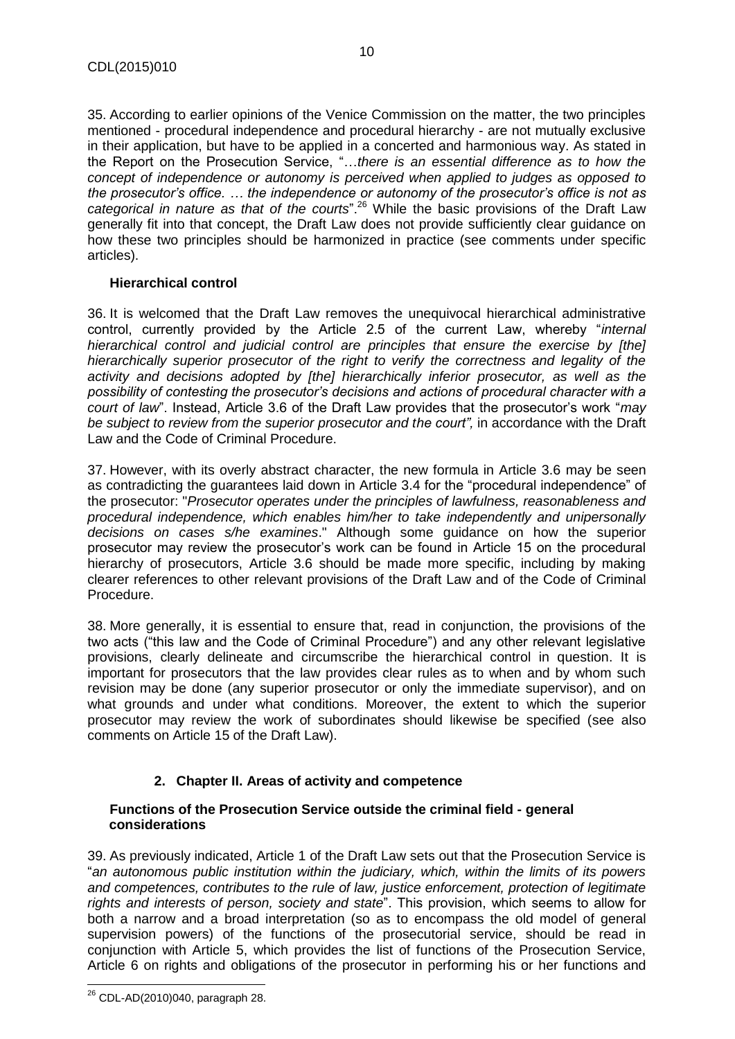35. According to earlier opinions of the Venice Commission on the matter, the two principles mentioned - procedural independence and procedural hierarchy - are not mutually exclusive in their application, but have to be applied in a concerted and harmonious way. As stated in the Report on the Prosecution Service, "…*there is an essential difference as to how the concept of independence or autonomy is perceived when applied to judges as opposed to the prosecutor's office. … the independence or autonomy of the prosecutor's office is not as categorical in nature as that of the courts*".<sup>26</sup> While the basic provisions of the Draft Law generally fit into that concept, the Draft Law does not provide sufficiently clear guidance on how these two principles should be harmonized in practice (see comments under specific articles).

#### **Hierarchical control**

36. It is welcomed that the Draft Law removes the unequivocal hierarchical administrative control, currently provided by the Article 2.5 of the current Law, whereby "*internal hierarchical control and judicial control are principles that ensure the exercise by [the] hierarchically superior prosecutor of the right to verify the correctness and legality of the activity and decisions adopted by [the] hierarchically inferior prosecutor, as well as the possibility of contesting the prosecutor's decisions and actions of procedural character with a court of law*". Instead, Article 3.6 of the Draft Law provides that the prosecutor's work "*may be subject to review from the superior prosecutor and the court",* in accordance with the Draft Law and the Code of Criminal Procedure.

37. However, with its overly abstract character, the new formula in Article 3.6 may be seen as contradicting the guarantees laid down in Article 3.4 for the "procedural independence" of the prosecutor: "*Prosecutor operates under the principles of lawfulness, reasonableness and procedural independence, which enables him/her to take independently and unipersonally decisions on cases s/he examines*." Although some guidance on how the superior prosecutor may review the prosecutor's work can be found in Article 15 on the procedural hierarchy of prosecutors, Article 3.6 should be made more specific, including by making clearer references to other relevant provisions of the Draft Law and of the Code of Criminal Procedure.

38. More generally, it is essential to ensure that, read in conjunction, the provisions of the two acts ("this law and the Code of Criminal Procedure") and any other relevant legislative provisions, clearly delineate and circumscribe the hierarchical control in question. It is important for prosecutors that the law provides clear rules as to when and by whom such revision may be done (any superior prosecutor or only the immediate supervisor), and on what grounds and under what conditions. Moreover, the extent to which the superior prosecutor may review the work of subordinates should likewise be specified (see also comments on Article 15 of the Draft Law).

# **2. Chapter II. Areas of activity and competence**

#### <span id="page-9-0"></span>**Functions of the Prosecution Service outside the criminal field - general considerations**

39. As previously indicated, Article 1 of the Draft Law sets out that the Prosecution Service is "*an autonomous public institution within the judiciary, which, within the limits of its powers and competences, contributes to the rule of law, justice enforcement, protection of legitimate rights and interests of person, society and state*". This provision, which seems to allow for both a narrow and a broad interpretation (so as to encompass the old model of general supervision powers) of the functions of the prosecutorial service, should be read in conjunction with Article 5, which provides the list of functions of the Prosecution Service, Article 6 on rights and obligations of the prosecutor in performing his or her functions and

 $\overline{\phantom{a}}$  $^{26}$  CDL-AD(2010)040, paragraph 28.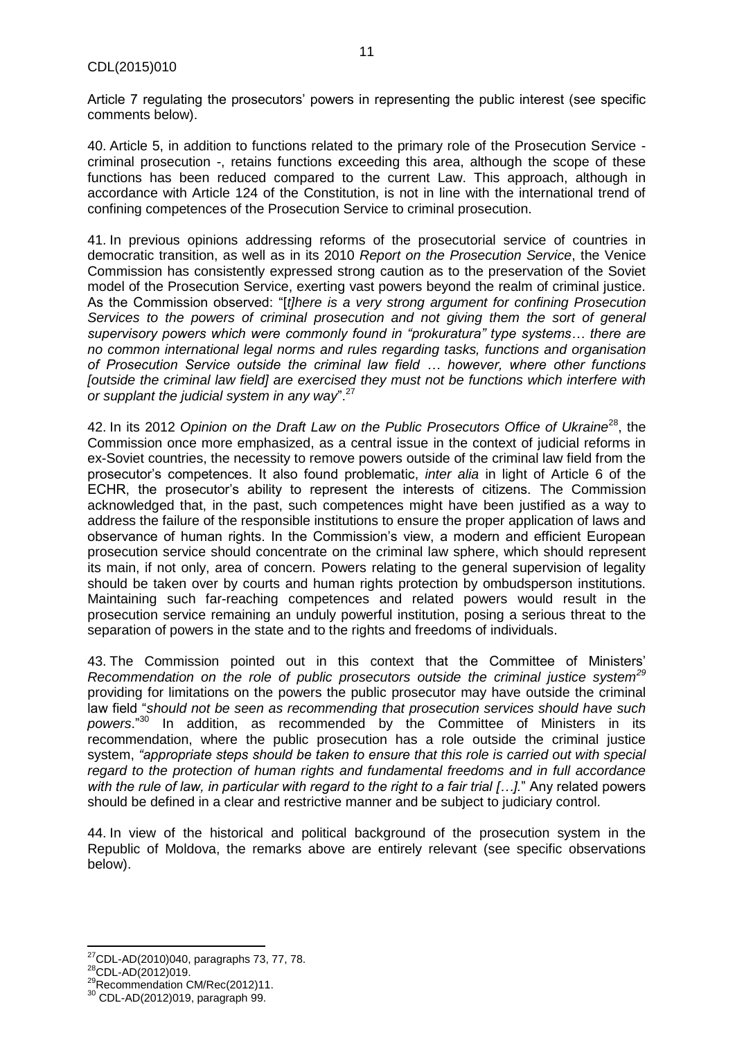Article 7 regulating the prosecutors' powers in representing the public interest (see specific comments below).

40. Article 5, in addition to functions related to the primary role of the Prosecution Service criminal prosecution -, retains functions exceeding this area, although the scope of these functions has been reduced compared to the current Law. This approach, although in accordance with Article 124 of the Constitution, is not in line with the international trend of confining competences of the Prosecution Service to criminal prosecution.

41. In previous opinions addressing reforms of the prosecutorial service of countries in democratic transition, as well as in its 2010 *Report on the Prosecution Service*, the Venice Commission has consistently expressed strong caution as to the preservation of the Soviet model of the Prosecution Service, exerting vast powers beyond the realm of criminal justice. As the Commission observed: "[*t]here is a very strong argument for confining Prosecution Services to the powers of criminal prosecution and not giving them the sort of general supervisory powers which were commonly found in "prokuratura" type systems… there are no common international legal norms and rules regarding tasks, functions and organisation of Prosecution Service outside the criminal law field … however, where other functions [outside the criminal law field] are exercised they must not be functions which interfere with or supplant the judicial system in any way*".<sup>27</sup>

42. In its 2012 *Opinion on the Draft Law on the Public Prosecutors Office of Ukraine*<sup>28</sup>, the Commission once more emphasized, as a central issue in the context of judicial reforms in ex-Soviet countries, the necessity to remove powers outside of the criminal law field from the prosecutor's competences. It also found problematic, *inter alia* in light of Article 6 of the ECHR, the prosecutor's ability to represent the interests of citizens. The Commission acknowledged that, in the past, such competences might have been justified as a way to address the failure of the responsible institutions to ensure the proper application of laws and observance of human rights. In the Commission's view, a modern and efficient European prosecution service should concentrate on the criminal law sphere, which should represent its main, if not only, area of concern. Powers relating to the general supervision of legality should be taken over by courts and human rights protection by ombudsperson institutions. Maintaining such far-reaching competences and related powers would result in the prosecution service remaining an unduly powerful institution, posing a serious threat to the separation of powers in the state and to the rights and freedoms of individuals.

43. The Commission pointed out in this context that the Committee of Ministers' *Recommendation on the role of public prosecutors outside the criminal justice system<sup>29</sup>* providing for limitations on the powers the public prosecutor may have outside the criminal law field "*should not be seen as recommending that prosecution services should have such powers*."<sup>30</sup> In addition, as recommended by the Committee of Ministers in its recommendation, where the public prosecution has a role outside the criminal justice system, *"appropriate steps should be taken to ensure that this role is carried out with special regard to the protection of human rights and fundamental freedoms and in full accordance with the rule of law, in particular with regard to the right to a fair trial […].*" Any related powers should be defined in a clear and restrictive manner and be subject to judiciary control.

44. In view of the historical and political background of the prosecution system in the Republic of Moldova, the remarks above are entirely relevant (see specific observations below).

l  $^{27}$ CDL-AD(2010)040, paragraphs 73, 77, 78.

 $^{28}$ CDL-AD(2012)019.

<sup>&</sup>lt;sup>29</sup>Recommendation CM/Rec(2012)11.

<sup>30</sup> CDL-AD(2012)019, paragraph 99.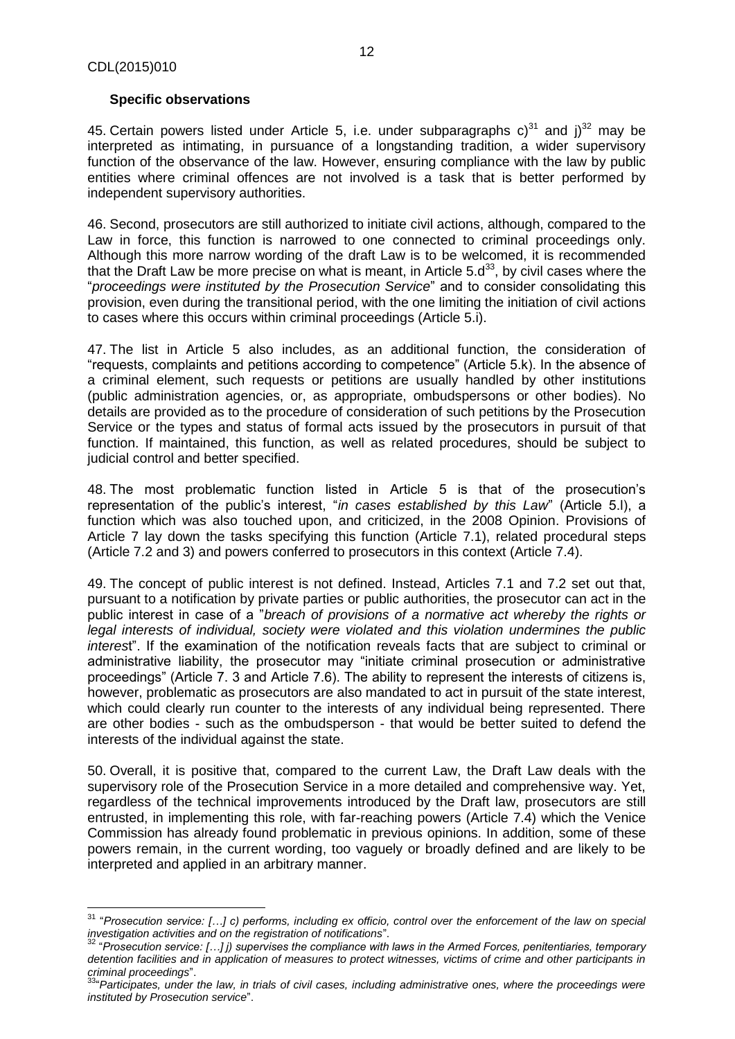### **Specific observations**

45. Certain powers listed under Article 5, i.e. under subparagraphs  $c^{31}$  and  $i^{32}$  may be interpreted as intimating, in pursuance of a longstanding tradition, a wider supervisory function of the observance of the law. However, ensuring compliance with the law by public entities where criminal offences are not involved is a task that is better performed by independent supervisory authorities.

46. Second, prosecutors are still authorized to initiate civil actions, although, compared to the Law in force, this function is narrowed to one connected to criminal proceedings only. Although this more narrow wording of the draft Law is to be welcomed, it is recommended that the Draft Law be more precise on what is meant, in Article  $5. d^{33}$ , by civil cases where the "*proceedings were instituted by the Prosecution Service*" and to consider consolidating this provision, even during the transitional period, with the one limiting the initiation of civil actions to cases where this occurs within criminal proceedings (Article 5.i).

47. The list in Article 5 also includes, as an additional function, the consideration of "requests, complaints and petitions according to competence" (Article 5.k). In the absence of a criminal element, such requests or petitions are usually handled by other institutions (public administration agencies, or, as appropriate, ombudspersons or other bodies). No details are provided as to the procedure of consideration of such petitions by the Prosecution Service or the types and status of formal acts issued by the prosecutors in pursuit of that function. If maintained, this function, as well as related procedures, should be subject to judicial control and better specified.

48. The most problematic function listed in Article 5 is that of the prosecution's representation of the public's interest, "*in cases established by this Law*" (Article 5.l), a function which was also touched upon, and criticized, in the 2008 Opinion. Provisions of Article 7 lay down the tasks specifying this function (Article 7.1), related procedural steps (Article 7.2 and 3) and powers conferred to prosecutors in this context (Article 7.4).

49. The concept of public interest is not defined. Instead, Articles 7.1 and 7.2 set out that, pursuant to a notification by private parties or public authorities, the prosecutor can act in the public interest in case of a "*breach of provisions of a normative act whereby the rights or legal interests of individual, society were violated and this violation undermines the public interes*t". If the examination of the notification reveals facts that are subject to criminal or administrative liability, the prosecutor may "initiate criminal prosecution or administrative proceedings" (Article 7. 3 and Article 7.6). The ability to represent the interests of citizens is, however, problematic as prosecutors are also mandated to act in pursuit of the state interest, which could clearly run counter to the interests of any individual being represented. There are other bodies - such as the ombudsperson - that would be better suited to defend the interests of the individual against the state.

50. Overall, it is positive that, compared to the current Law, the Draft Law deals with the supervisory role of the Prosecution Service in a more detailed and comprehensive way. Yet, regardless of the technical improvements introduced by the Draft law, prosecutors are still entrusted, in implementing this role, with far-reaching powers (Article 7.4) which the Venice Commission has already found problematic in previous opinions. In addition, some of these powers remain, in the current wording, too vaguely or broadly defined and are likely to be interpreted and applied in an arbitrary manner.

j <sup>31</sup> "*Prosecution service: […] c) performs, including ex officio, control over the enforcement of the law on special investigation activities and on the registration of notifications*".

<sup>32</sup> "*Prosecution service: […] j) supervises the compliance with laws in the Armed Forces, penitentiaries, temporary detention facilities and in application of measures to protect witnesses, victims of crime and other participants in criminal proceedings*".

<sup>33</sup>"*Participates, under the law, in trials of civil cases, including administrative ones, where the proceedings were instituted by Prosecution service*".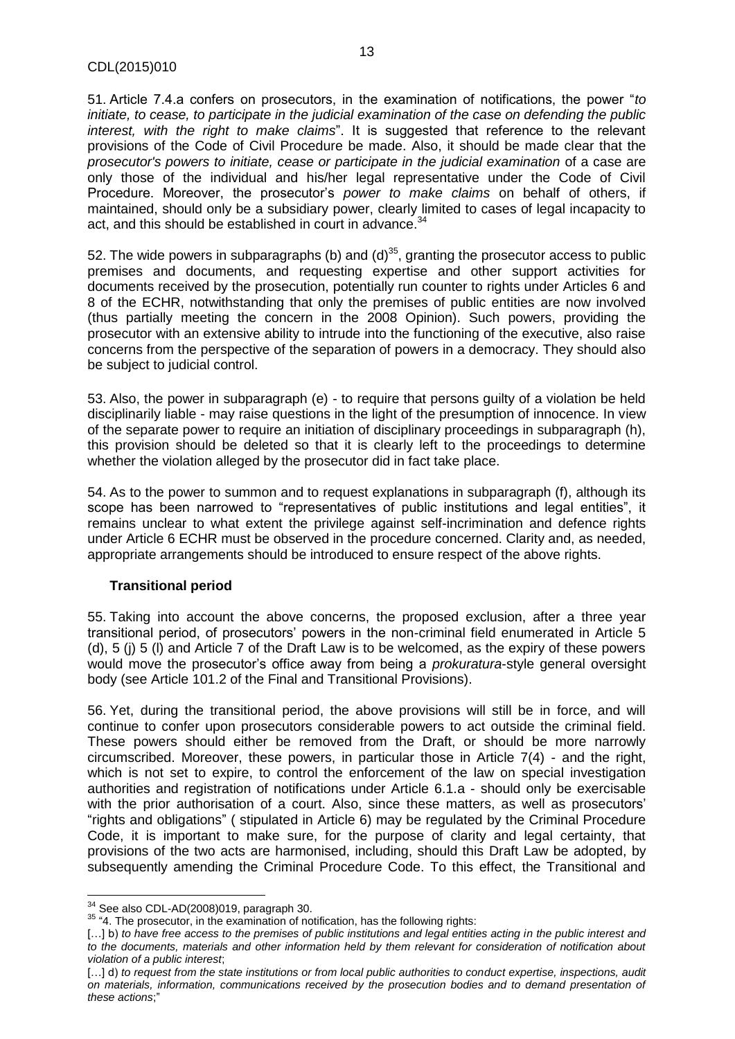51. Article 7.4.a confers on prosecutors, in the examination of notifications, the power "*to initiate, to cease, to participate in the judicial examination of the case on defending the public interest, with the right to make claims*". It is suggested that reference to the relevant provisions of the Code of Civil Procedure be made. Also, it should be made clear that the *prosecutor's powers to initiate, cease or participate in the judicial examination* of a case are only those of the individual and his/her legal representative under the Code of Civil Procedure. Moreover, the prosecutor's *power to make claims* on behalf of others, if maintained, should only be a subsidiary power, clearly limited to cases of legal incapacity to act, and this should be established in court in advance.<sup>34</sup>

52. The wide powers in subparagraphs (b) and  $(d)^{35}$ , granting the prosecutor access to public premises and documents, and requesting expertise and other support activities for documents received by the prosecution, potentially run counter to rights under Articles 6 and 8 of the ECHR, notwithstanding that only the premises of public entities are now involved (thus partially meeting the concern in the 2008 Opinion). Such powers, providing the prosecutor with an extensive ability to intrude into the functioning of the executive, also raise concerns from the perspective of the separation of powers in a democracy. They should also be subject to judicial control.

53. Also, the power in subparagraph (e) - to require that persons guilty of a violation be held disciplinarily liable - may raise questions in the light of the presumption of innocence. In view of the separate power to require an initiation of disciplinary proceedings in subparagraph (h), this provision should be deleted so that it is clearly left to the proceedings to determine whether the violation alleged by the prosecutor did in fact take place.

54. As to the power to summon and to request explanations in subparagraph (f), although its scope has been narrowed to "representatives of public institutions and legal entities", it remains unclear to what extent the privilege against self-incrimination and defence rights under Article 6 ECHR must be observed in the procedure concerned. Clarity and, as needed, appropriate arrangements should be introduced to ensure respect of the above rights.

# **Transitional period**

55. Taking into account the above concerns, the proposed exclusion, after a three year transitional period, of prosecutors' powers in the non-criminal field enumerated in Article 5 (d), 5 (j) 5 (l) and Article 7 of the Draft Law is to be welcomed, as the expiry of these powers would move the prosecutor's office away from being a *prokuratura*-style general oversight body (see Article 101.2 of the Final and Transitional Provisions).

56. Yet, during the transitional period, the above provisions will still be in force, and will continue to confer upon prosecutors considerable powers to act outside the criminal field. These powers should either be removed from the Draft, or should be more narrowly circumscribed. Moreover, these powers, in particular those in Article 7(4) - and the right, which is not set to expire, to control the enforcement of the law on special investigation authorities and registration of notifications under Article 6.1.a - should only be exercisable with the prior authorisation of a court. Also, since these matters, as well as prosecutors' "rights and obligations" ( stipulated in Article 6) may be regulated by the Criminal Procedure Code, it is important to make sure, for the purpose of clarity and legal certainty, that provisions of the two acts are harmonised, including, should this Draft Law be adopted, by subsequently amending the Criminal Procedure Code. To this effect, the Transitional and

 $\overline{\phantom{a}}$  $^{34}$  See also CDL-AD(2008)019, paragraph 30.

<sup>&</sup>lt;sup>35</sup> "4. The prosecutor, in the examination of notification, has the following rights:

<sup>[...]</sup> b) *to have free access to the premises of public institutions and legal entities acting in the public interest and to the documents, materials and other information held by them relevant for consideration of notification about violation of a public interest*;

<sup>[...]</sup> d) *to request from the state institutions or from local public authorities to conduct expertise, inspections, audit on materials, information, communications received by the prosecution bodies and to demand presentation of these actions*;"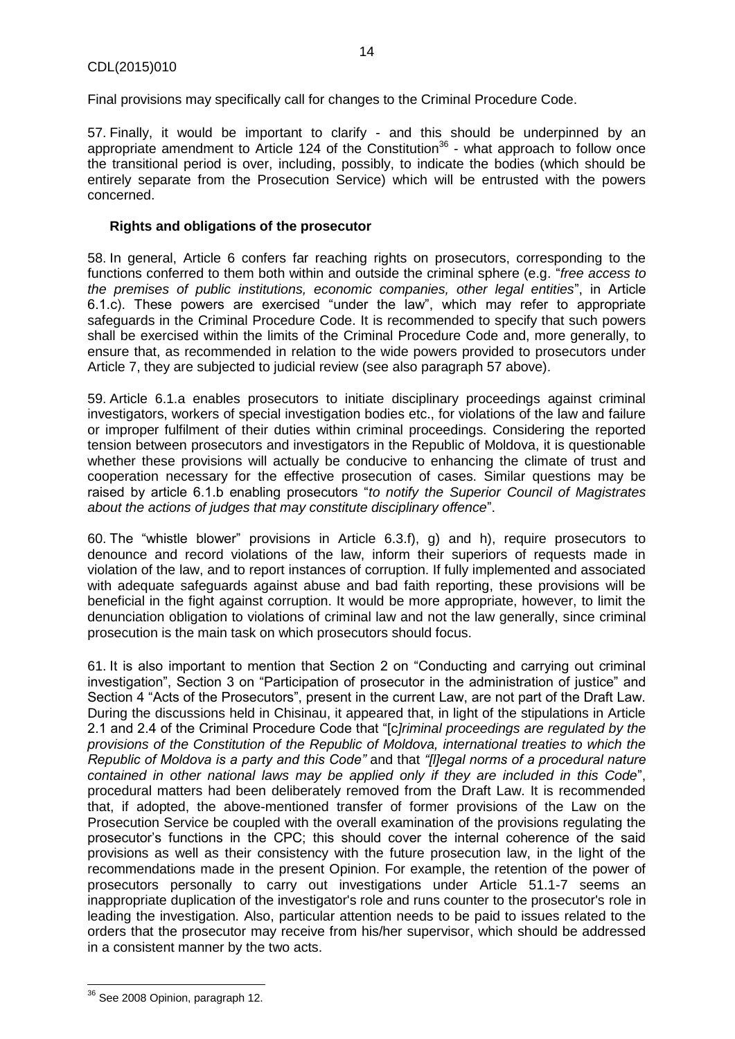Final provisions may specifically call for changes to the Criminal Procedure Code.

57. Finally, it would be important to clarify - and this should be underpinned by an appropriate amendment to Article 124 of the Constitution<sup>36</sup> - what approach to follow once the transitional period is over, including, possibly, to indicate the bodies (which should be entirely separate from the Prosecution Service) which will be entrusted with the powers concerned.

#### **Rights and obligations of the prosecutor**

58. In general, Article 6 confers far reaching rights on prosecutors, corresponding to the functions conferred to them both within and outside the criminal sphere (e.g. "*free access to the premises of public institutions, economic companies, other legal entities*", in Article 6.1.c). These powers are exercised "under the law", which may refer to appropriate safeguards in the Criminal Procedure Code. It is recommended to specify that such powers shall be exercised within the limits of the Criminal Procedure Code and, more generally, to ensure that, as recommended in relation to the wide powers provided to prosecutors under Article 7, they are subjected to judicial review (see also paragraph 57 above).

59. Article 6.1.a enables prosecutors to initiate disciplinary proceedings against criminal investigators, workers of special investigation bodies etc., for violations of the law and failure or improper fulfilment of their duties within criminal proceedings. Considering the reported tension between prosecutors and investigators in the Republic of Moldova, it is questionable whether these provisions will actually be conducive to enhancing the climate of trust and cooperation necessary for the effective prosecution of cases. Similar questions may be raised by article 6.1.b enabling prosecutors "*to notify the Superior Council of Magistrates about the actions of judges that may constitute disciplinary offence*".

60. The "whistle blower" provisions in Article 6.3.f), g) and h), require prosecutors to denounce and record violations of the law, inform their superiors of requests made in violation of the law, and to report instances of corruption. If fully implemented and associated with adequate safeguards against abuse and bad faith reporting, these provisions will be beneficial in the fight against corruption. It would be more appropriate, however, to limit the denunciation obligation to violations of criminal law and not the law generally, since criminal prosecution is the main task on which prosecutors should focus.

61. It is also important to mention that Section 2 on "Conducting and carrying out criminal investigation", Section 3 on "Participation of prosecutor in the administration of justice" and Section 4 "Acts of the Prosecutors", present in the current Law, are not part of the Draft Law. During the discussions held in Chisinau, it appeared that, in light of the stipulations in Article 2.1 and 2.4 of the Criminal Procedure Code that "[c*]riminal proceedings are regulated by the provisions of the Constitution of the Republic of Moldova, international treaties to which the Republic of Moldova is a party and this Code"* and that *"[l]egal norms of a procedural nature contained in other national laws may be applied only if they are included in this Code*", procedural matters had been deliberately removed from the Draft Law. It is recommended that, if adopted, the above-mentioned transfer of former provisions of the Law on the Prosecution Service be coupled with the overall examination of the provisions regulating the prosecutor's functions in the CPC; this should cover the internal coherence of the said provisions as well as their consistency with the future prosecution law, in the light of the recommendations made in the present Opinion. For example, the retention of the power of prosecutors personally to carry out investigations under Article 51.1-7 seems an inappropriate duplication of the investigator's role and runs counter to the prosecutor's role in leading the investigation. Also, particular attention needs to be paid to issues related to the orders that the prosecutor may receive from his/her supervisor, which should be addressed in a consistent manner by the two acts.

 $\overline{\phantom{a}}$ <sup>36</sup> See 2008 Opinion, paragraph 12.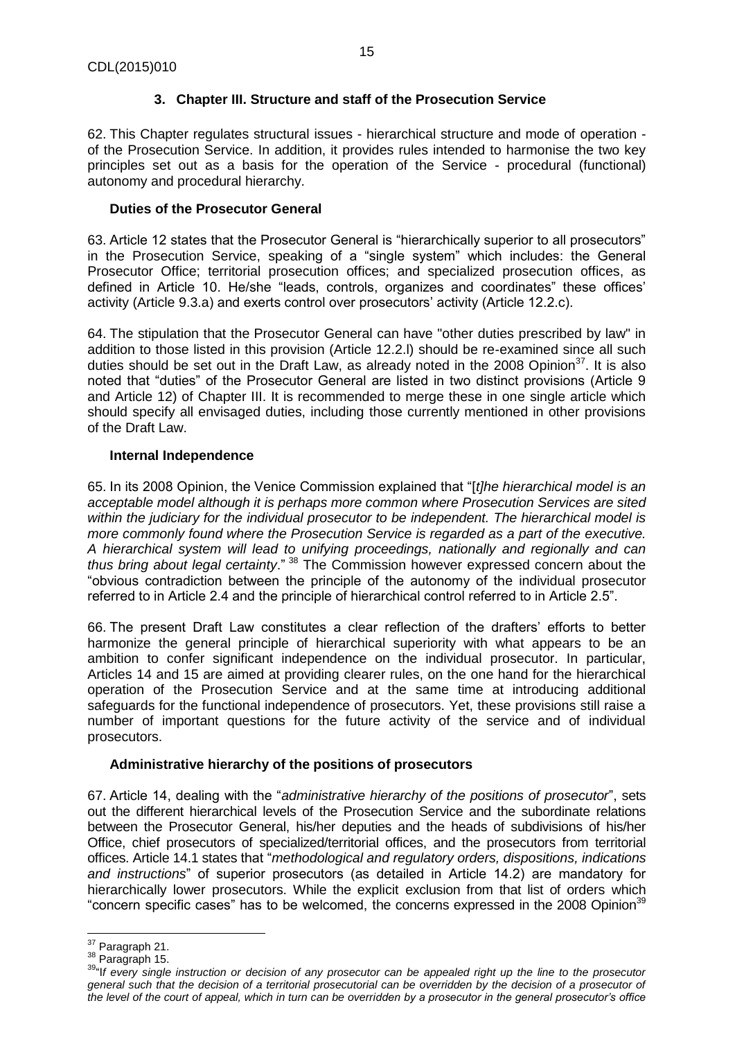# **3. Chapter III. Structure and staff of the Prosecution Service**

<span id="page-14-0"></span>62. This Chapter regulates structural issues - hierarchical structure and mode of operation of the Prosecution Service. In addition, it provides rules intended to harmonise the two key principles set out as a basis for the operation of the Service - procedural (functional) autonomy and procedural hierarchy.

# **Duties of the Prosecutor General**

63. Article 12 states that the Prosecutor General is "hierarchically superior to all prosecutors" in the Prosecution Service, speaking of a "single system" which includes: the General Prosecutor Office; territorial prosecution offices; and specialized prosecution offices, as defined in Article 10. He/she "leads, controls, organizes and coordinates" these offices' activity (Article 9.3.a) and exerts control over prosecutors' activity (Article 12.2.c).

64. The stipulation that the Prosecutor General can have "other duties prescribed by law" in addition to those listed in this provision (Article 12.2.l) should be re-examined since all such duties should be set out in the Draft Law, as already noted in the 2008 Opinion<sup>37</sup>. It is also noted that "duties" of the Prosecutor General are listed in two distinct provisions (Article 9 and Article 12) of Chapter III. It is recommended to merge these in one single article which should specify all envisaged duties, including those currently mentioned in other provisions of the Draft Law.

# **Internal Independence**

65. In its 2008 Opinion, the Venice Commission explained that "[*t]he hierarchical model is an acceptable model although it is perhaps more common where Prosecution Services are sited within the judiciary for the individual prosecutor to be independent. The hierarchical model is more commonly found where the Prosecution Service is regarded as a part of the executive. A hierarchical system will lead to unifying proceedings, nationally and regionally and can thus bring about legal certainty*." <sup>38</sup> The Commission however expressed concern about the "obvious contradiction between the principle of the autonomy of the individual prosecutor referred to in Article 2.4 and the principle of hierarchical control referred to in Article 2.5".

66. The present Draft Law constitutes a clear reflection of the drafters' efforts to better harmonize the general principle of hierarchical superiority with what appears to be an ambition to confer significant independence on the individual prosecutor. In particular, Articles 14 and 15 are aimed at providing clearer rules, on the one hand for the hierarchical operation of the Prosecution Service and at the same time at introducing additional safeguards for the functional independence of prosecutors. Yet, these provisions still raise a number of important questions for the future activity of the service and of individual prosecutors.

# **Administrative hierarchy of the positions of prosecutors**

67. Article 14, dealing with the "*administrative hierarchy of the positions of prosecutor*", sets out the different hierarchical levels of the Prosecution Service and the subordinate relations between the Prosecutor General, his/her deputies and the heads of subdivisions of his/her Office, chief prosecutors of specialized/territorial offices, and the prosecutors from territorial offices. Article 14.1 states that "*methodological and regulatory orders, dispositions, indications and instructions*" of superior prosecutors (as detailed in Article 14.2) are mandatory for hierarchically lower prosecutors. While the explicit exclusion from that list of orders which "concern specific cases" has to be welcomed, the concerns expressed in the 2008 Opinion<sup>39</sup>

 $\overline{\phantom{a}}$ <sup>37</sup> Paragraph 21.

<sup>38</sup> Paragraph 15.

<sup>39</sup>"I*f every single instruction or decision of any prosecutor can be appealed right up the line to the prosecutor general such that the decision of a territorial prosecutorial can be overridden by the decision of a prosecutor of the level of the court of appeal, which in turn can be overridden by a prosecutor in the general prosecutor's office*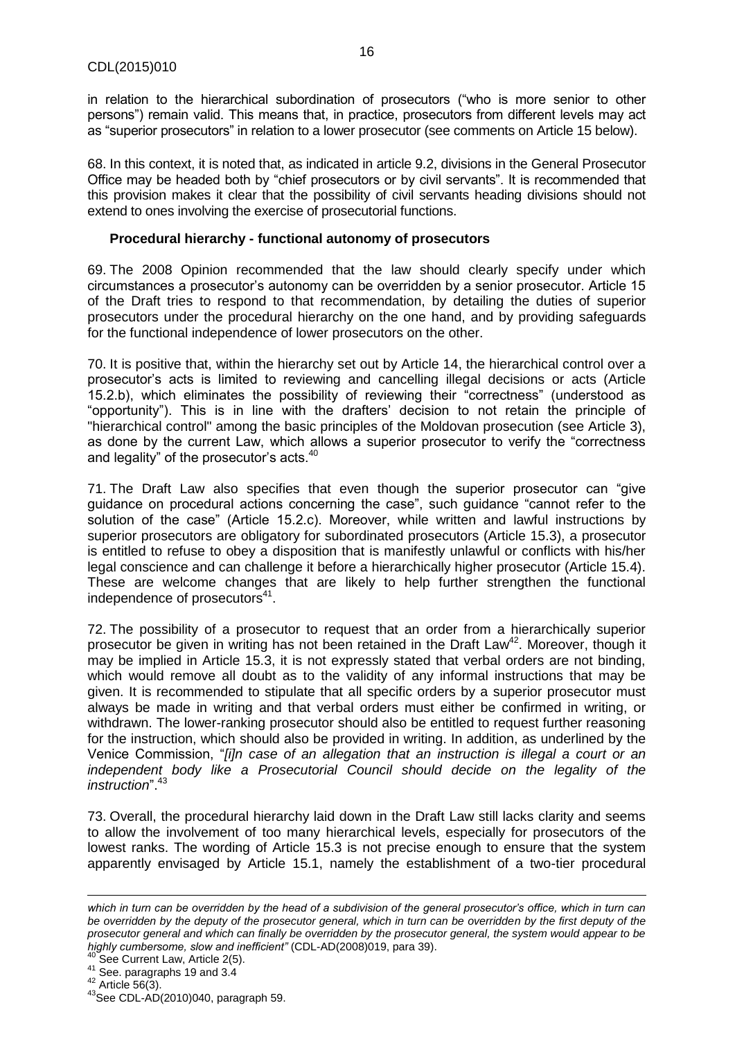in relation to the hierarchical subordination of prosecutors ("who is more senior to other persons") remain valid. This means that, in practice, prosecutors from different levels may act as "superior prosecutors" in relation to a lower prosecutor (see comments on Article 15 below).

68. In this context, it is noted that, as indicated in article 9.2, divisions in the General Prosecutor Office may be headed both by "chief prosecutors or by civil servants". It is recommended that this provision makes it clear that the possibility of civil servants heading divisions should not extend to ones involving the exercise of prosecutorial functions.

#### **Procedural hierarchy - functional autonomy of prosecutors**

69. The 2008 Opinion recommended that the law should clearly specify under which circumstances a prosecutor's autonomy can be overridden by a senior prosecutor. Article 15 of the Draft tries to respond to that recommendation, by detailing the duties of superior prosecutors under the procedural hierarchy on the one hand, and by providing safeguards for the functional independence of lower prosecutors on the other.

70. It is positive that, within the hierarchy set out by Article 14, the hierarchical control over a prosecutor's acts is limited to reviewing and cancelling illegal decisions or acts (Article 15.2.b), which eliminates the possibility of reviewing their "correctness" (understood as "opportunity"). This is in line with the drafters' decision to not retain the principle of "hierarchical control" among the basic principles of the Moldovan prosecution (see Article 3), as done by the current Law, which allows a superior prosecutor to verify the "correctness and legality" of the prosecutor's acts.<sup>40</sup>

71. The Draft Law also specifies that even though the superior prosecutor can "give guidance on procedural actions concerning the case", such guidance "cannot refer to the solution of the case" (Article 15.2.c). Moreover, while written and lawful instructions by superior prosecutors are obligatory for subordinated prosecutors (Article 15.3), a prosecutor is entitled to refuse to obey a disposition that is manifestly unlawful or conflicts with his/her legal conscience and can challenge it before a hierarchically higher prosecutor (Article 15.4). These are welcome changes that are likely to help further strengthen the functional independence of prosecutors<sup>41</sup>.

72. The possibility of a prosecutor to request that an order from a hierarchically superior prosecutor be given in writing has not been retained in the Draft Law<sup>42</sup>. Moreover, though it may be implied in Article 15.3, it is not expressly stated that verbal orders are not binding, which would remove all doubt as to the validity of any informal instructions that may be given. It is recommended to stipulate that all specific orders by a superior prosecutor must always be made in writing and that verbal orders must either be confirmed in writing, or withdrawn. The lower-ranking prosecutor should also be entitled to request further reasoning for the instruction, which should also be provided in writing. In addition, as underlined by the Venice Commission, "*[i]n case of an allegation that an instruction is illegal a court or an*  independent body like a Prosecutorial Council should decide on the legality of the *instruction*".<sup>43</sup>

73. Overall, the procedural hierarchy laid down in the Draft Law still lacks clarity and seems to allow the involvement of too many hierarchical levels, especially for prosecutors of the lowest ranks. The wording of Article 15.3 is not precise enough to ensure that the system apparently envisaged by Article 15.1, namely the establishment of a two-tier procedural

 $\overline{\phantom{a}}$ 

*which in turn can be overridden by the head of a subdivision of the general prosecutor's office, which in turn can be overridden by the deputy of the prosecutor general, which in turn can be overridden by the first deputy of the prosecutor general and which can finally be overridden by the prosecutor general, the system would appear to be highly cumbersome, slow and inefficient"* (CDL-AD(2008)019, para 39).

See Current Law, Article 2(5).

<sup>41</sup> See. paragraphs 19 and 3.4

 $42$  Article 56(3).

 $43$ See CDL- $AD(2010)040$ , paragraph 59.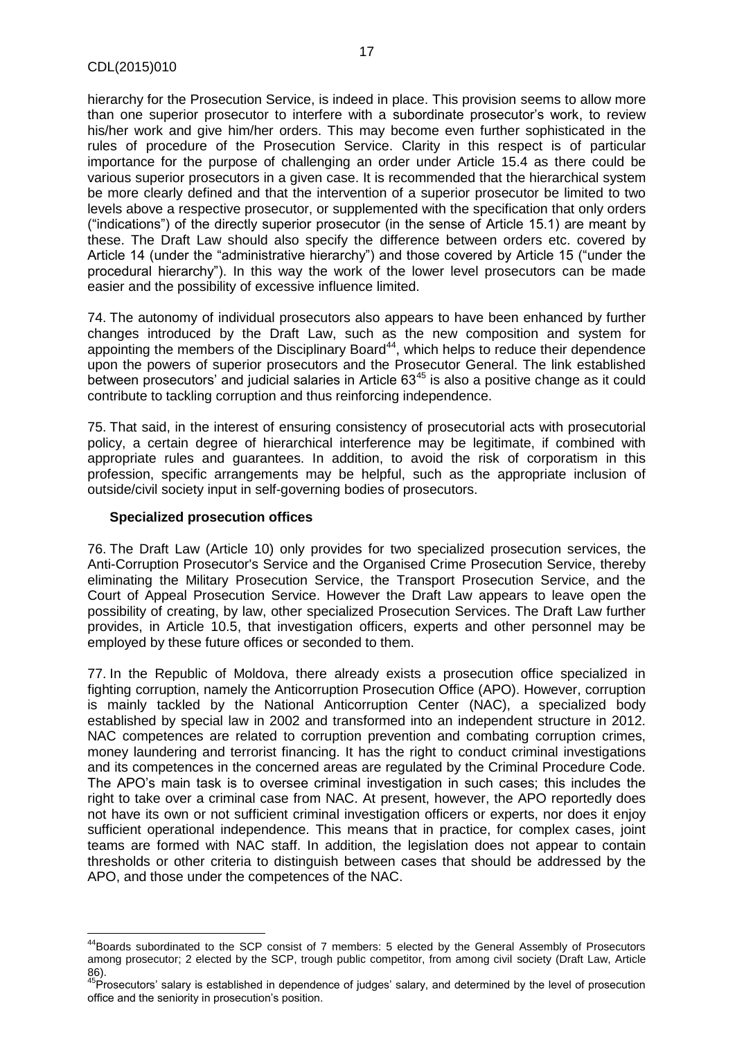hierarchy for the Prosecution Service, is indeed in place. This provision seems to allow more than one superior prosecutor to interfere with a subordinate prosecutor's work, to review his/her work and give him/her orders. This may become even further sophisticated in the rules of procedure of the Prosecution Service. Clarity in this respect is of particular importance for the purpose of challenging an order under Article 15.4 as there could be various superior prosecutors in a given case. It is recommended that the hierarchical system be more clearly defined and that the intervention of a superior prosecutor be limited to two levels above a respective prosecutor, or supplemented with the specification that only orders ("indications") of the directly superior prosecutor (in the sense of Article 15.1) are meant by these. The Draft Law should also specify the difference between orders etc. covered by Article 14 (under the "administrative hierarchy") and those covered by Article 15 ("under the procedural hierarchy"). In this way the work of the lower level prosecutors can be made easier and the possibility of excessive influence limited.

74. The autonomy of individual prosecutors also appears to have been enhanced by further changes introduced by the Draft Law, such as the new composition and system for appointing the members of the Disciplinary Board<sup>44</sup>, which helps to reduce their dependence upon the powers of superior prosecutors and the Prosecutor General. The link established between prosecutors' and judicial salaries in Article 63<sup>45</sup> is also a positive change as it could contribute to tackling corruption and thus reinforcing independence.

75. That said, in the interest of ensuring consistency of prosecutorial acts with prosecutorial policy, a certain degree of hierarchical interference may be legitimate, if combined with appropriate rules and guarantees. In addition, to avoid the risk of corporatism in this profession, specific arrangements may be helpful, such as the appropriate inclusion of outside/civil society input in self-governing bodies of prosecutors.

#### **Specialized prosecution offices**

 $\overline{\phantom{a}}$ 

76. The Draft Law (Article 10) only provides for two specialized prosecution services, the Anti-Corruption Prosecutor's Service and the Organised Crime Prosecution Service, thereby eliminating the Military Prosecution Service, the Transport Prosecution Service, and the Court of Appeal Prosecution Service. However the Draft Law appears to leave open the possibility of creating, by law, other specialized Prosecution Services. The Draft Law further provides, in Article 10.5, that investigation officers, experts and other personnel may be employed by these future offices or seconded to them.

77. In the Republic of Moldova, there already exists a prosecution office specialized in fighting corruption, namely the Anticorruption Prosecution Office (APO). However, corruption is mainly tackled by the National Anticorruption Center (NAC), a specialized body established by special law in 2002 and transformed into an independent structure in 2012. NAC competences are related to corruption prevention and combating corruption crimes, money laundering and terrorist financing. It has the right to conduct criminal investigations and its competences in the concerned areas are regulated by the Criminal Procedure Code. The APO's main task is to oversee criminal investigation in such cases; this includes the right to take over a criminal case from NAC. At present, however, the APO reportedly does not have its own or not sufficient criminal investigation officers or experts, nor does it enjoy sufficient operational independence. This means that in practice, for complex cases, joint teams are formed with NAC staff. In addition, the legislation does not appear to contain thresholds or other criteria to distinguish between cases that should be addressed by the APO, and those under the competences of the NAC.

<sup>&</sup>lt;sup>44</sup>Boards subordinated to the SCP consist of 7 members: 5 elected by the General Assembly of Prosecutors among prosecutor; 2 elected by the SCP, trough public competitor, from among civil society (Draft Law, Article 86).

<sup>&</sup>lt;sup>45</sup>Prosecutors' salary is established in dependence of judges' salary, and determined by the level of prosecution office and the seniority in prosecution's position.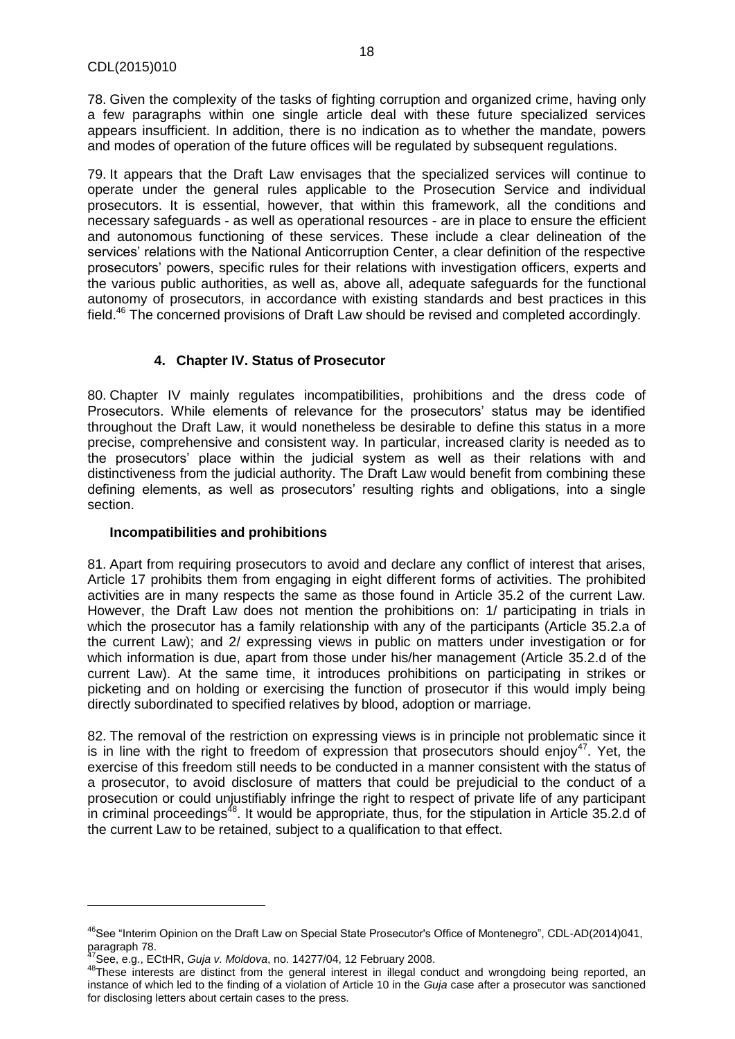78. Given the complexity of the tasks of fighting corruption and organized crime, having only a few paragraphs within one single article deal with these future specialized services appears insufficient. In addition, there is no indication as to whether the mandate, powers and modes of operation of the future offices will be regulated by subsequent regulations.

79. It appears that the Draft Law envisages that the specialized services will continue to operate under the general rules applicable to the Prosecution Service and individual prosecutors. It is essential, however, that within this framework, all the conditions and necessary safeguards - as well as operational resources - are in place to ensure the efficient and autonomous functioning of these services. These include a clear delineation of the services' relations with the National Anticorruption Center, a clear definition of the respective prosecutors' powers, specific rules for their relations with investigation officers, experts and the various public authorities, as well as, above all, adequate safeguards for the functional autonomy of prosecutors, in accordance with existing standards and best practices in this field.<sup>46</sup> The concerned provisions of Draft Law should be revised and completed accordingly.

# **4. Chapter IV. Status of Prosecutor**

<span id="page-17-0"></span>80. Chapter IV mainly regulates incompatibilities, prohibitions and the dress code of Prosecutors. While elements of relevance for the prosecutors' status may be identified throughout the Draft Law, it would nonetheless be desirable to define this status in a more precise, comprehensive and consistent way. In particular, increased clarity is needed as to the prosecutors' place within the judicial system as well as their relations with and distinctiveness from the judicial authority. The Draft Law would benefit from combining these defining elements, as well as prosecutors' resulting rights and obligations, into a single section.

# **Incompatibilities and prohibitions**

81. Apart from requiring prosecutors to avoid and declare any conflict of interest that arises, Article 17 prohibits them from engaging in eight different forms of activities. The prohibited activities are in many respects the same as those found in Article 35.2 of the current Law. However, the Draft Law does not mention the prohibitions on: 1/ participating in trials in which the prosecutor has a family relationship with any of the participants (Article 35.2.a of the current Law); and 2/ expressing views in public on matters under investigation or for which information is due, apart from those under his/her management (Article 35.2.d of the current Law). At the same time, it introduces prohibitions on participating in strikes or picketing and on holding or exercising the function of prosecutor if this would imply being directly subordinated to specified relatives by blood, adoption or marriage.

82. The removal of the restriction on expressing views is in principle not problematic since it is in line with the right to freedom of expression that prosecutors should enjoy<sup>47</sup>. Yet, the exercise of this freedom still needs to be conducted in a manner consistent with the status of a prosecutor, to avoid disclosure of matters that could be prejudicial to the conduct of a prosecution or could unjustifiably infringe the right to respect of private life of any participant in criminal proceedings<sup> $48$ </sup>. It would be appropriate, thus, for the stipulation in Article 35.2.d of the current Law to be retained, subject to a qualification to that effect.

 $\overline{\phantom{a}}$ 

<sup>&</sup>lt;sup>46</sup>See "Interim Opinion on the Draft Law on Special State Prosecutor's Office of Montenegro", CDL-AD(2014)041, paragraph 78.

<sup>47</sup>See, e.g., ECtHR, *Guja v. Moldova*, no. 14277/04, 12 February 2008.

<sup>48</sup>These interests are distinct from the general interest in illegal conduct and wrongdoing being reported, an instance of which led to the finding of a violation of Article 10 in the *Guja* case after a prosecutor was sanctioned for disclosing letters about certain cases to the press.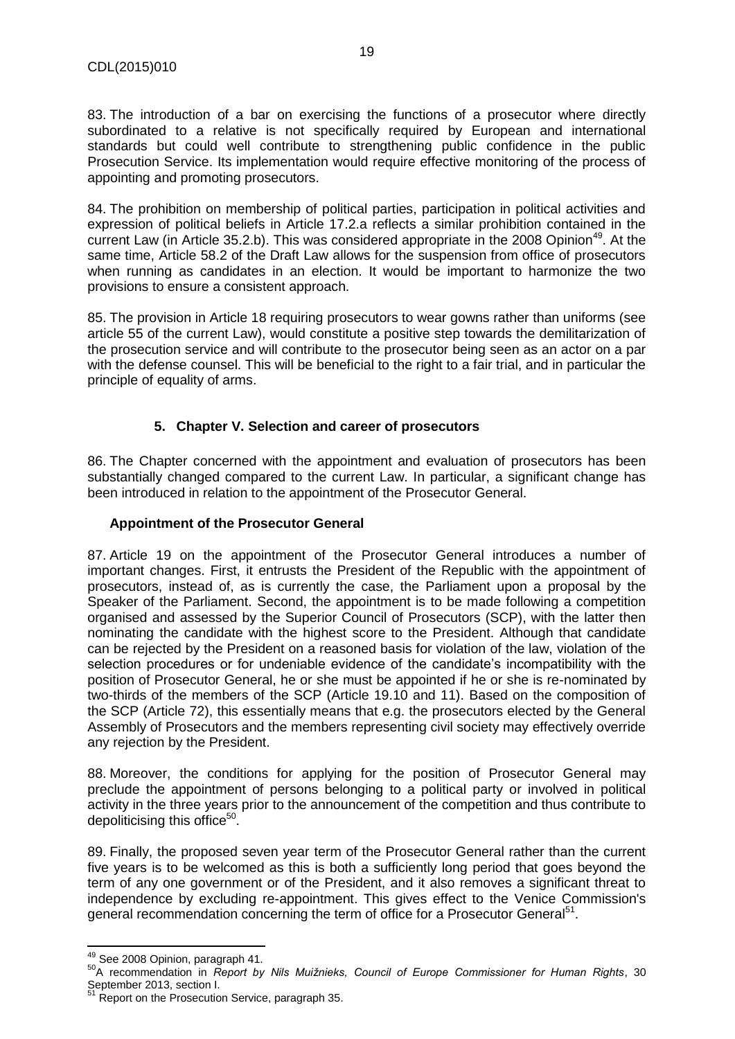83. The introduction of a bar on exercising the functions of a prosecutor where directly subordinated to a relative is not specifically required by European and international standards but could well contribute to strengthening public confidence in the public Prosecution Service. Its implementation would require effective monitoring of the process of appointing and promoting prosecutors.

84. The prohibition on membership of political parties, participation in political activities and expression of political beliefs in Article 17.2.a reflects a similar prohibition contained in the current Law (in Article 35.2.b). This was considered appropriate in the 2008 Opinion<sup>49</sup>. At the same time, Article 58.2 of the Draft Law allows for the suspension from office of prosecutors when running as candidates in an election. It would be important to harmonize the two provisions to ensure a consistent approach.

85. The provision in Article 18 requiring prosecutors to wear gowns rather than uniforms (see article 55 of the current Law), would constitute a positive step towards the demilitarization of the prosecution service and will contribute to the prosecutor being seen as an actor on a par with the defense counsel. This will be beneficial to the right to a fair trial, and in particular the principle of equality of arms.

# **5. Chapter V. Selection and career of prosecutors**

<span id="page-18-0"></span>86. The Chapter concerned with the appointment and evaluation of prosecutors has been substantially changed compared to the current Law. In particular, a significant change has been introduced in relation to the appointment of the Prosecutor General.

## **Appointment of the Prosecutor General**

87. Article 19 on the appointment of the Prosecutor General introduces a number of important changes. First, it entrusts the President of the Republic with the appointment of prosecutors, instead of, as is currently the case, the Parliament upon a proposal by the Speaker of the Parliament. Second, the appointment is to be made following a competition organised and assessed by the Superior Council of Prosecutors (SCP), with the latter then nominating the candidate with the highest score to the President. Although that candidate can be rejected by the President on a reasoned basis for violation of the law, violation of the selection procedures or for undeniable evidence of the candidate's incompatibility with the position of Prosecutor General, he or she must be appointed if he or she is re-nominated by two-thirds of the members of the SCP (Article 19.10 and 11). Based on the composition of the SCP (Article 72), this essentially means that e.g. the prosecutors elected by the General Assembly of Prosecutors and the members representing civil society may effectively override any rejection by the President.

88. Moreover, the conditions for applying for the position of Prosecutor General may preclude the appointment of persons belonging to a political party or involved in political activity in the three years prior to the announcement of the competition and thus contribute to depoliticising this office $50$ .

89. Finally, the proposed seven year term of the Prosecutor General rather than the current five years is to be welcomed as this is both a sufficiently long period that goes beyond the term of any one government or of the President, and it also removes a significant threat to independence by excluding re-appointment. This gives effect to the Venice Commission's general recommendation concerning the term of office for a Prosecutor General<sup>51</sup>.

l

 $49$  See 2008 Opinion, paragraph 41.

<sup>50</sup>A recommendation in *Report by Nils Muižnieks, Council of Europe Commissioner for Human Rights*, 30 September 2013, section I.

<sup>&</sup>lt;sup>51</sup> Report on the Prosecution Service, paragraph 35.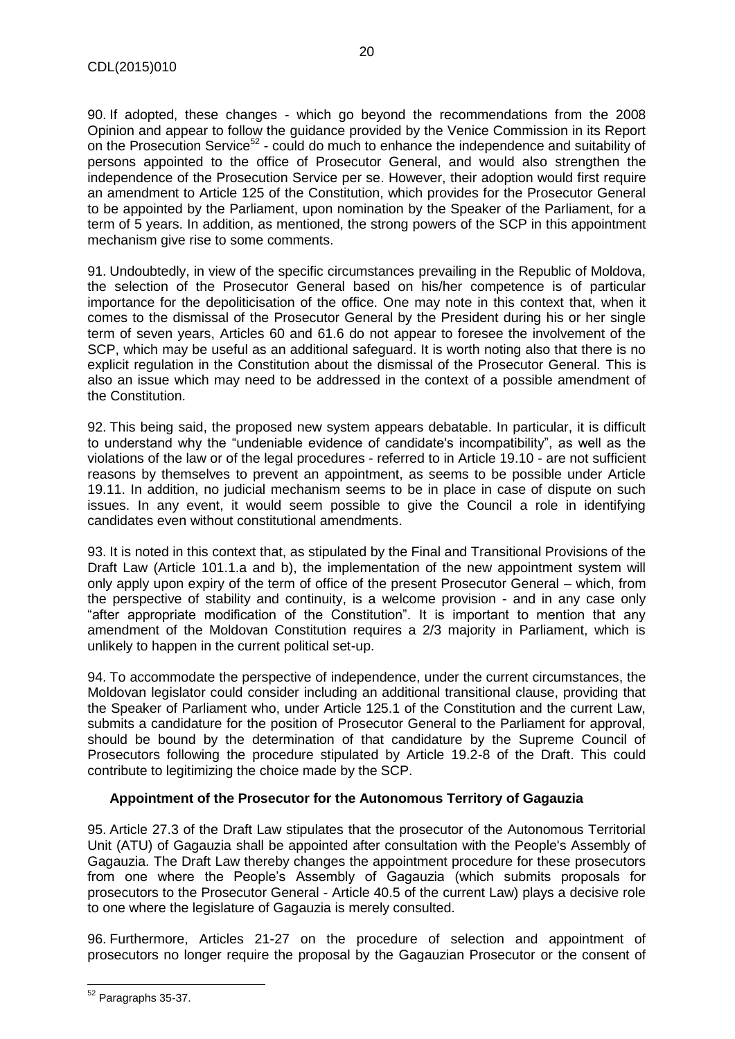90. If adopted, these changes - which go beyond the recommendations from the 2008 Opinion and appear to follow the guidance provided by the Venice Commission in its Report on the Prosecution Service<sup>52</sup> - could do much to enhance the independence and suitability of persons appointed to the office of Prosecutor General, and would also strengthen the independence of the Prosecution Service per se. However, their adoption would first require an amendment to Article 125 of the Constitution, which provides for the Prosecutor General to be appointed by the Parliament, upon nomination by the Speaker of the Parliament, for a term of 5 years. In addition, as mentioned, the strong powers of the SCP in this appointment mechanism give rise to some comments.

91. Undoubtedly, in view of the specific circumstances prevailing in the Republic of Moldova, the selection of the Prosecutor General based on his/her competence is of particular importance for the depoliticisation of the office. One may note in this context that, when it comes to the dismissal of the Prosecutor General by the President during his or her single term of seven years, Articles 60 and 61.6 do not appear to foresee the involvement of the SCP, which may be useful as an additional safeguard. It is worth noting also that there is no explicit regulation in the Constitution about the dismissal of the Prosecutor General. This is also an issue which may need to be addressed in the context of a possible amendment of the Constitution.

92. This being said, the proposed new system appears debatable. In particular, it is difficult to understand why the "undeniable evidence of candidate's incompatibility", as well as the violations of the law or of the legal procedures - referred to in Article 19.10 - are not sufficient reasons by themselves to prevent an appointment, as seems to be possible under Article 19.11. In addition, no judicial mechanism seems to be in place in case of dispute on such issues. In any event, it would seem possible to give the Council a role in identifying candidates even without constitutional amendments.

93. It is noted in this context that, as stipulated by the Final and Transitional Provisions of the Draft Law (Article 101.1.a and b), the implementation of the new appointment system will only apply upon expiry of the term of office of the present Prosecutor General – which, from the perspective of stability and continuity, is a welcome provision - and in any case only "after appropriate modification of the Constitution". It is important to mention that any amendment of the Moldovan Constitution requires a 2/3 majority in Parliament, which is unlikely to happen in the current political set-up.

94. To accommodate the perspective of independence, under the current circumstances, the Moldovan legislator could consider including an additional transitional clause, providing that the Speaker of Parliament who, under Article 125.1 of the Constitution and the current Law, submits a candidature for the position of Prosecutor General to the Parliament for approval, should be bound by the determination of that candidature by the Supreme Council of Prosecutors following the procedure stipulated by Article 19.2-8 of the Draft. This could contribute to legitimizing the choice made by the SCP.

# **Appointment of the Prosecutor for the Autonomous Territory of Gagauzia**

95. Article 27.3 of the Draft Law stipulates that the prosecutor of the Autonomous Territorial Unit (ATU) of Gagauzia shall be appointed after consultation with the People's Assembly of Gagauzia. The Draft Law thereby changes the appointment procedure for these prosecutors from one where the People's Assembly of Gagauzia (which submits proposals for prosecutors to the Prosecutor General - Article 40.5 of the current Law) plays a decisive role to one where the legislature of Gagauzia is merely consulted.

96. Furthermore, Articles 21-27 on the procedure of selection and appointment of prosecutors no longer require the proposal by the Gagauzian Prosecutor or the consent of

 $\overline{\phantom{a}}$ <sup>52</sup> Paragraphs 35-37.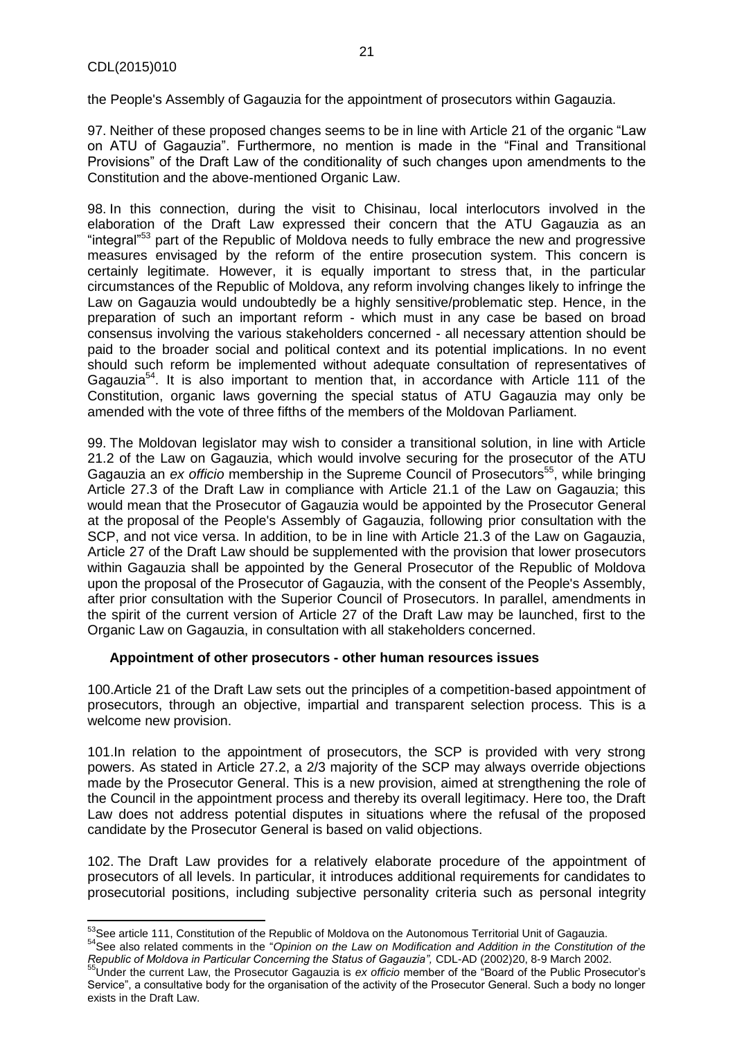the People's Assembly of Gagauzia for the appointment of prosecutors within Gagauzia.

97. Neither of these proposed changes seems to be in line with Article 21 of the organic "Law on ATU of Gagauzia". Furthermore, no mention is made in the "Final and Transitional Provisions" of the Draft Law of the conditionality of such changes upon amendments to the Constitution and the above-mentioned Organic Law.

98. In this connection, during the visit to Chisinau, local interlocutors involved in the elaboration of the Draft Law expressed their concern that the ATU Gagauzia as an "integral"<sup>53</sup> part of the Republic of Moldova needs to fully embrace the new and progressive measures envisaged by the reform of the entire prosecution system. This concern is certainly legitimate. However, it is equally important to stress that, in the particular circumstances of the Republic of Moldova, any reform involving changes likely to infringe the Law on Gagauzia would undoubtedly be a highly sensitive/problematic step. Hence, in the preparation of such an important reform - which must in any case be based on broad consensus involving the various stakeholders concerned - all necessary attention should be paid to the broader social and political context and its potential implications. In no event should such reform be implemented without adequate consultation of representatives of Gagauzia<sup>54</sup>. It is also important to mention that, in accordance with Article 111 of the Constitution, organic laws governing the special status of ATU Gagauzia may only be amended with the vote of three fifths of the members of the Moldovan Parliament.

99. The Moldovan legislator may wish to consider a transitional solution, in line with Article 21.2 of the Law on Gagauzia, which would involve securing for the prosecutor of the ATU Gagauzia an *ex officio* membership in the Supreme Council of Prosecutors<sup>55</sup>, while bringing Article 27.3 of the Draft Law in compliance with Article 21.1 of the Law on Gagauzia; this would mean that the Prosecutor of Gagauzia would be appointed by the Prosecutor General at the proposal of the People's Assembly of Gagauzia, following prior consultation with the SCP, and not vice versa. In addition, to be in line with Article 21.3 of the Law on Gagauzia, Article 27 of the Draft Law should be supplemented with the provision that lower prosecutors within Gagauzia shall be appointed by the General Prosecutor of the Republic of Moldova upon the proposal of the Prosecutor of Gagauzia, with the consent of the People's Assembly, after prior consultation with the Superior Council of Prosecutors. In parallel, amendments in the spirit of the current version of Article 27 of the Draft Law may be launched, first to the Organic Law on Gagauzia, in consultation with all stakeholders concerned.

# **Appointment of other prosecutors - other human resources issues**

100.Article 21 of the Draft Law sets out the principles of a competition-based appointment of prosecutors, through an objective, impartial and transparent selection process. This is a welcome new provision.

101.In relation to the appointment of prosecutors, the SCP is provided with very strong powers. As stated in Article 27.2, a 2/3 majority of the SCP may always override objections made by the Prosecutor General. This is a new provision, aimed at strengthening the role of the Council in the appointment process and thereby its overall legitimacy. Here too, the Draft Law does not address potential disputes in situations where the refusal of the proposed candidate by the Prosecutor General is based on valid objections.

102. The Draft Law provides for a relatively elaborate procedure of the appointment of prosecutors of all levels. In particular, it introduces additional requirements for candidates to prosecutorial positions, including subjective personality criteria such as personal integrity

 $\overline{\phantom{a}}$ <sup>53</sup>See article 111, Constitution of the Republic of Moldova on the Autonomous Territorial Unit of Gagauzia.

<sup>54</sup>See also related comments in the "*Opinion on the Law on Modification and Addition in the Constitution of the Republic of Moldova in Particular Concerning the Status of Gagauzia",* CDL-AD (2002)20, 8-9 March 2002.

<sup>55</sup>Under the current Law, the Prosecutor Gagauzia is *ex officio* member of the "Board of the Public Prosecutor's Service", a consultative body for the organisation of the activity of the Prosecutor General. Such a body no longer exists in the Draft Law.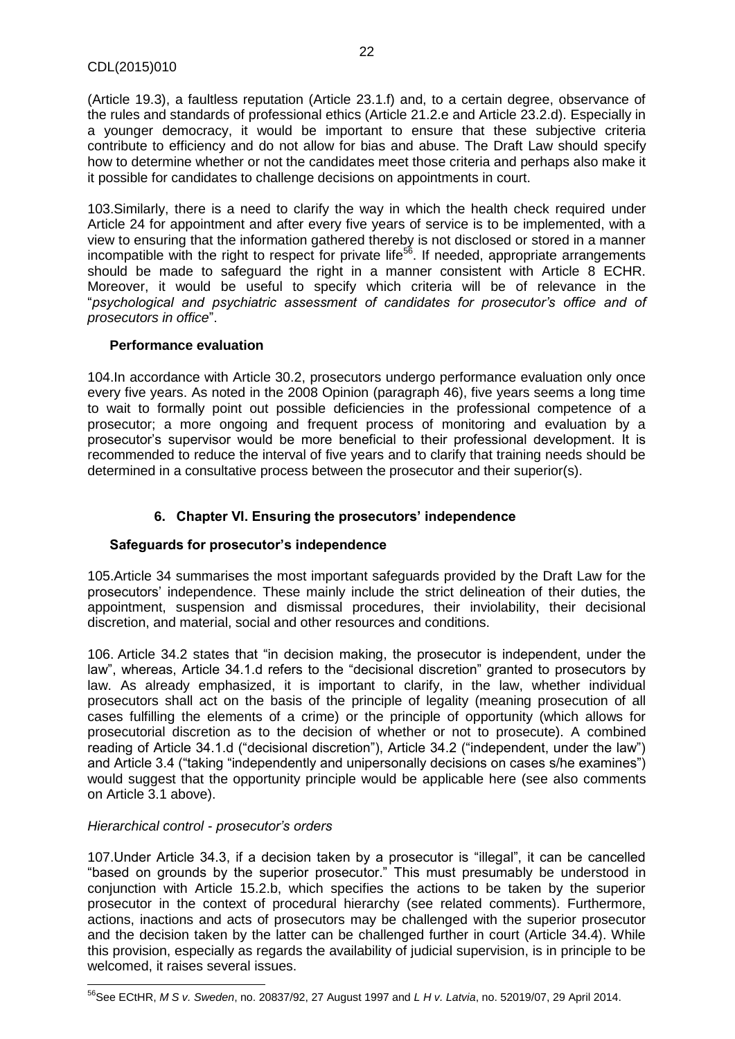(Article 19.3), a faultless reputation (Article 23.1.f) and, to a certain degree, observance of the rules and standards of professional ethics (Article 21.2.e and Article 23.2.d). Especially in a younger democracy, it would be important to ensure that these subjective criteria contribute to efficiency and do not allow for bias and abuse. The Draft Law should specify how to determine whether or not the candidates meet those criteria and perhaps also make it it possible for candidates to challenge decisions on appointments in court.

103.Similarly, there is a need to clarify the way in which the health check required under Article 24 for appointment and after every five years of service is to be implemented, with a view to ensuring that the information gathered thereby is not disclosed or stored in a manner incompatible with the right to respect for private life<sup>56</sup>. If needed, appropriate arrangements should be made to safeguard the right in a manner consistent with Article 8 ECHR. Moreover, it would be useful to specify which criteria will be of relevance in the "*psychological and psychiatric assessment of candidates for prosecutor's office and of prosecutors in office*".

#### **Performance evaluation**

104.In accordance with Article 30.2, prosecutors undergo performance evaluation only once every five years. As noted in the 2008 Opinion (paragraph 46), five years seems a long time to wait to formally point out possible deficiencies in the professional competence of a prosecutor; a more ongoing and frequent process of monitoring and evaluation by a prosecutor's supervisor would be more beneficial to their professional development. It is recommended to reduce the interval of five years and to clarify that training needs should be determined in a consultative process between the prosecutor and their superior(s).

# **6. Chapter VI. Ensuring the prosecutors' independence**

# <span id="page-21-0"></span>**Safeguards for prosecutor's independence**

105.Article 34 summarises the most important safeguards provided by the Draft Law for the prosecutors' independence. These mainly include the strict delineation of their duties, the appointment, suspension and dismissal procedures, their inviolability, their decisional discretion, and material, social and other resources and conditions.

106. Article 34.2 states that "in decision making, the prosecutor is independent, under the law", whereas, Article 34.1.d refers to the "decisional discretion" granted to prosecutors by law. As already emphasized, it is important to clarify, in the law, whether individual prosecutors shall act on the basis of the principle of legality (meaning prosecution of all cases fulfilling the elements of a crime) or the principle of opportunity (which allows for prosecutorial discretion as to the decision of whether or not to prosecute). A combined reading of Article 34.1.d ("decisional discretion"), Article 34.2 ("independent, under the law") and Article 3.4 ("taking "independently and unipersonally decisions on cases s/he examines") would suggest that the opportunity principle would be applicable here (see also comments on Article 3.1 above).

# *Hierarchical control - prosecutor's orders*

107.Under Article 34.3, if a decision taken by a prosecutor is "illegal", it can be cancelled "based on grounds by the superior prosecutor." This must presumably be understood in conjunction with Article 15.2.b, which specifies the actions to be taken by the superior prosecutor in the context of procedural hierarchy (see related comments). Furthermore, actions, inactions and acts of prosecutors may be challenged with the superior prosecutor and the decision taken by the latter can be challenged further in court (Article 34.4). While this provision, especially as regards the availability of judicial supervision, is in principle to be welcomed, it raises several issues.

 $\overline{\phantom{a}}$ <sup>56</sup>See ECtHR, *M S v. Sweden*, no. 20837/92, 27 August 1997 and *L H v. Latvia*, no. 52019/07, 29 April 2014.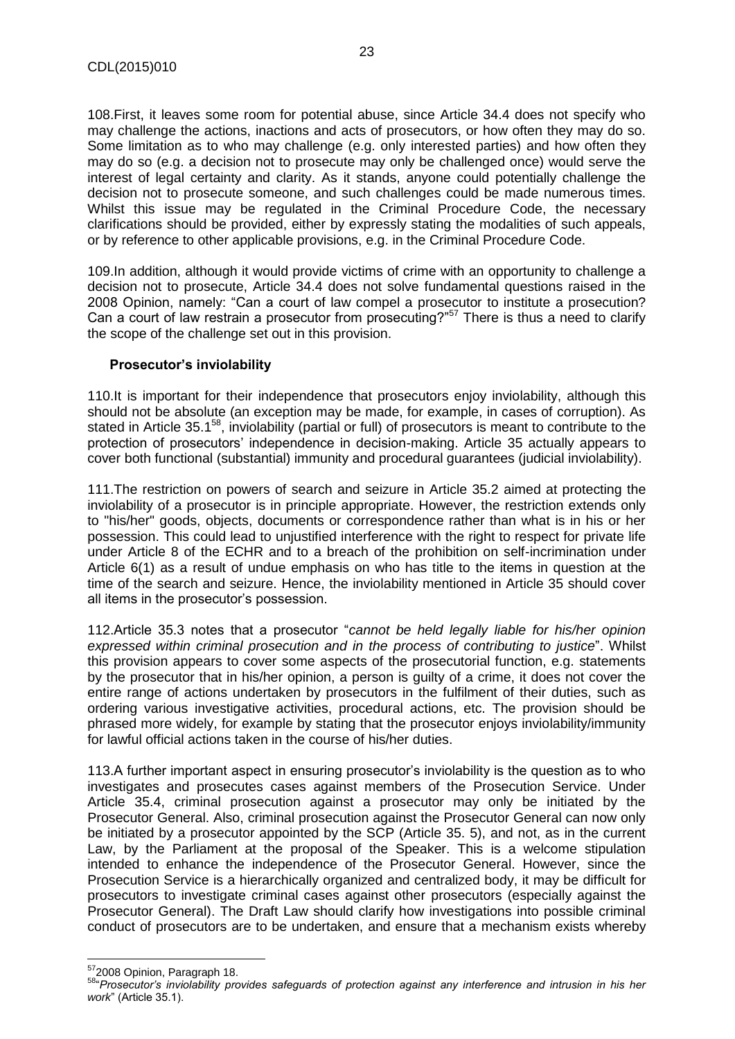108.First, it leaves some room for potential abuse, since Article 34.4 does not specify who may challenge the actions, inactions and acts of prosecutors, or how often they may do so. Some limitation as to who may challenge (e.g. only interested parties) and how often they may do so (e.g. a decision not to prosecute may only be challenged once) would serve the interest of legal certainty and clarity. As it stands, anyone could potentially challenge the decision not to prosecute someone, and such challenges could be made numerous times. Whilst this issue may be regulated in the Criminal Procedure Code, the necessary clarifications should be provided, either by expressly stating the modalities of such appeals, or by reference to other applicable provisions, e.g. in the Criminal Procedure Code.

109.In addition, although it would provide victims of crime with an opportunity to challenge a decision not to prosecute, Article 34.4 does not solve fundamental questions raised in the 2008 Opinion, namely: "Can a court of law compel a prosecutor to institute a prosecution? Can a court of law restrain a prosecutor from prosecuting?"<sup>57</sup> There is thus a need to clarify the scope of the challenge set out in this provision.

#### **Prosecutor's inviolability**

110.It is important for their independence that prosecutors enjoy inviolability, although this should not be absolute (an exception may be made, for example, in cases of corruption). As stated in Article 35.1<sup>58</sup>, inviolability (partial or full) of prosecutors is meant to contribute to the protection of prosecutors' independence in decision-making. Article 35 actually appears to cover both functional (substantial) immunity and procedural guarantees (judicial inviolability).

111.The restriction on powers of search and seizure in Article 35.2 aimed at protecting the inviolability of a prosecutor is in principle appropriate. However, the restriction extends only to "his/her" goods, objects, documents or correspondence rather than what is in his or her possession. This could lead to unjustified interference with the right to respect for private life under Article 8 of the ECHR and to a breach of the prohibition on self-incrimination under Article 6(1) as a result of undue emphasis on who has title to the items in question at the time of the search and seizure. Hence, the inviolability mentioned in Article 35 should cover all items in the prosecutor's possession.

112.Article 35.3 notes that a prosecutor "*cannot be held legally liable for his/her opinion expressed within criminal prosecution and in the process of contributing to justice*". Whilst this provision appears to cover some aspects of the prosecutorial function, e.g. statements by the prosecutor that in his/her opinion, a person is guilty of a crime, it does not cover the entire range of actions undertaken by prosecutors in the fulfilment of their duties, such as ordering various investigative activities, procedural actions, etc. The provision should be phrased more widely, for example by stating that the prosecutor enjoys inviolability/immunity for lawful official actions taken in the course of his/her duties.

113.A further important aspect in ensuring prosecutor's inviolability is the question as to who investigates and prosecutes cases against members of the Prosecution Service. Under Article 35.4, criminal prosecution against a prosecutor may only be initiated by the Prosecutor General. Also, criminal prosecution against the Prosecutor General can now only be initiated by a prosecutor appointed by the SCP (Article 35. 5), and not, as in the current Law, by the Parliament at the proposal of the Speaker. This is a welcome stipulation intended to enhance the independence of the Prosecutor General. However, since the Prosecution Service is a hierarchically organized and centralized body, it may be difficult for prosecutors to investigate criminal cases against other prosecutors (especially against the Prosecutor General). The Draft Law should clarify how investigations into possible criminal conduct of prosecutors are to be undertaken, and ensure that a mechanism exists whereby

 $\overline{\phantom{a}}$ 

<sup>&</sup>lt;sup>57</sup>2008 Opinion, Paragraph 18.

<sup>58</sup>"*Prosecutor's inviolability provides safeguards of protection against any interference and intrusion in his her work*" (Article 35.1).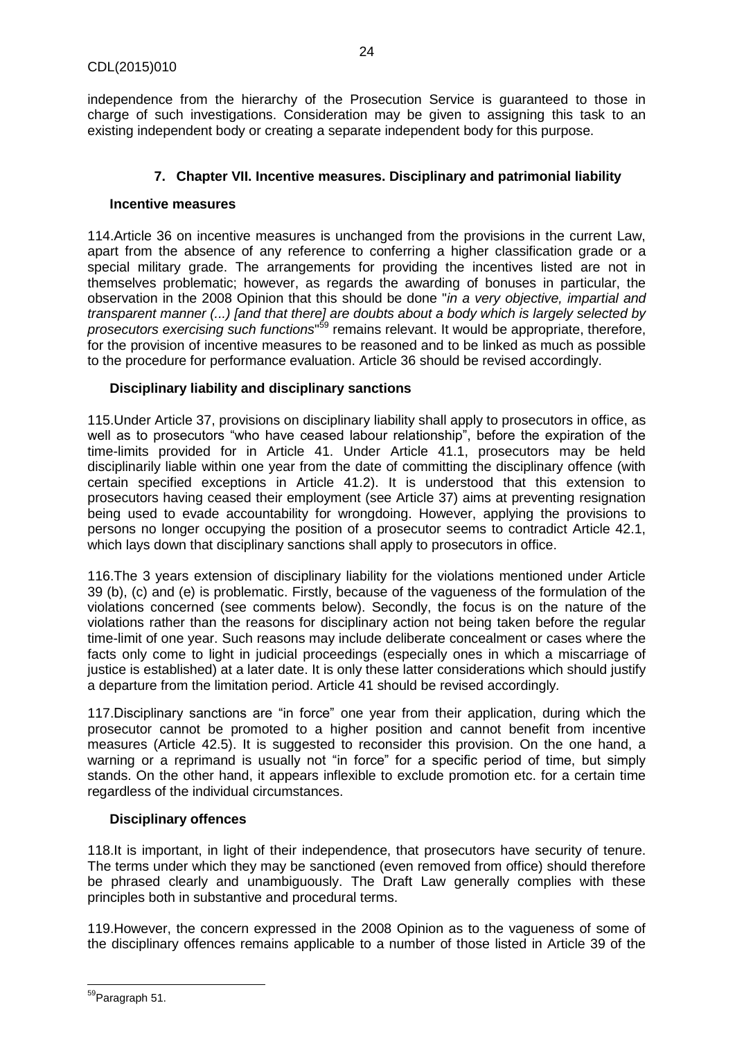independence from the hierarchy of the Prosecution Service is guaranteed to those in charge of such investigations. Consideration may be given to assigning this task to an existing independent body or creating a separate independent body for this purpose.

## **7. Chapter VII. Incentive measures. Disciplinary and patrimonial liability**

#### <span id="page-23-0"></span>**Incentive measures**

114.Article 36 on incentive measures is unchanged from the provisions in the current Law, apart from the absence of any reference to conferring a higher classification grade or a special military grade. The arrangements for providing the incentives listed are not in themselves problematic; however, as regards the awarding of bonuses in particular, the observation in the 2008 Opinion that this should be done "*in a very objective, impartial and transparent manner (...) [and that there] are doubts about a body which is largely selected by prosecutors exercising such functions*" <sup>59</sup> remains relevant. It would be appropriate, therefore, for the provision of incentive measures to be reasoned and to be linked as much as possible to the procedure for performance evaluation. Article 36 should be revised accordingly.

# **Disciplinary liability and disciplinary sanctions**

115.Under Article 37, provisions on disciplinary liability shall apply to prosecutors in office, as well as to prosecutors "who have ceased labour relationship", before the expiration of the time-limits provided for in Article 41. Under Article 41.1, prosecutors may be held disciplinarily liable within one year from the date of committing the disciplinary offence (with certain specified exceptions in Article 41.2). It is understood that this extension to prosecutors having ceased their employment (see Article 37) aims at preventing resignation being used to evade accountability for wrongdoing. However, applying the provisions to persons no longer occupying the position of a prosecutor seems to contradict Article 42.1, which lays down that disciplinary sanctions shall apply to prosecutors in office.

116.The 3 years extension of disciplinary liability for the violations mentioned under Article 39 (b), (c) and (e) is problematic. Firstly, because of the vagueness of the formulation of the violations concerned (see comments below). Secondly, the focus is on the nature of the violations rather than the reasons for disciplinary action not being taken before the regular time-limit of one year. Such reasons may include deliberate concealment or cases where the facts only come to light in judicial proceedings (especially ones in which a miscarriage of justice is established) at a later date. It is only these latter considerations which should justify a departure from the limitation period. Article 41 should be revised accordingly*.*

117.Disciplinary sanctions are "in force" one year from their application, during which the prosecutor cannot be promoted to a higher position and cannot benefit from incentive measures (Article 42.5). It is suggested to reconsider this provision. On the one hand, a warning or a reprimand is usually not "in force" for a specific period of time, but simply stands. On the other hand, it appears inflexible to exclude promotion etc. for a certain time regardless of the individual circumstances.

# **Disciplinary offences**

118.It is important, in light of their independence, that prosecutors have security of tenure. The terms under which they may be sanctioned (even removed from office) should therefore be phrased clearly and unambiguously. The Draft Law generally complies with these principles both in substantive and procedural terms.

119.However, the concern expressed in the 2008 Opinion as to the vagueness of some of the disciplinary offences remains applicable to a number of those listed in Article 39 of the

 $\overline{\phantom{a}}$ <sup>59</sup>Paragraph 51.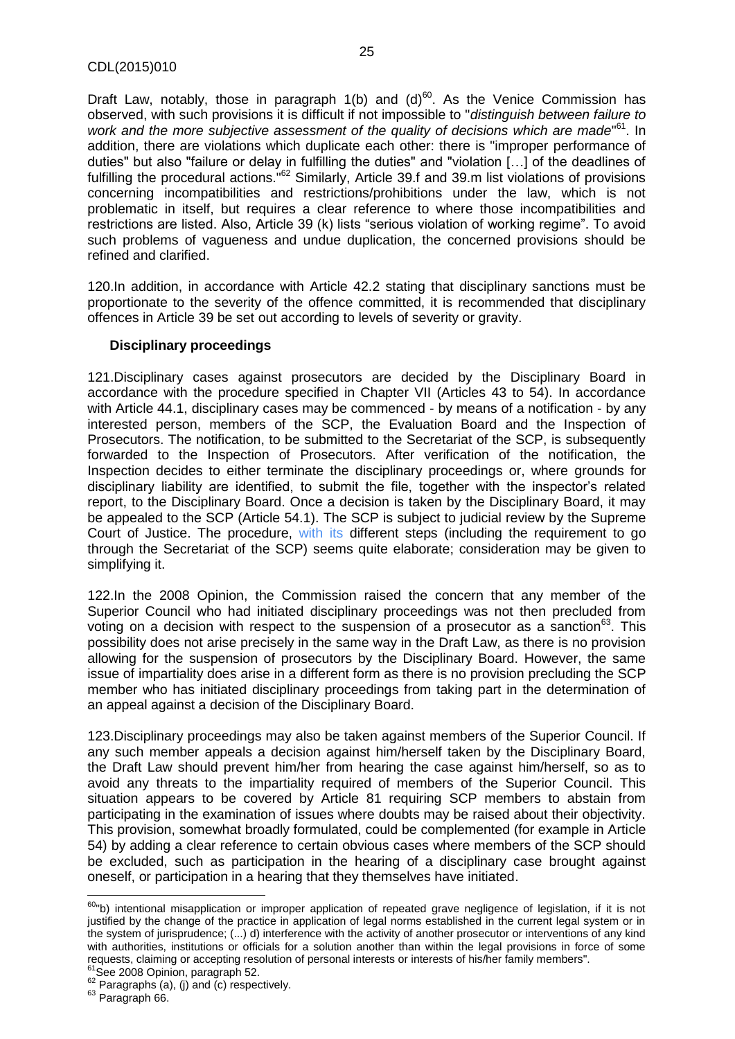Draft Law, notably, those in paragraph  $1(b)$  and  $(d)^{60}$ . As the Venice Commission has observed, with such provisions it is difficult if not impossible to "*distinguish between failure to*  work and the more subjective assessment of the quality of decisions which are made<sup>®1</sup>. In addition, there are violations which duplicate each other: there is "improper performance of duties" but also "failure or delay in fulfilling the duties" and "violation […] of the deadlines of fulfilling the procedural actions."<sup>62</sup> Similarly, Article 39.f and 39.m list violations of provisions concerning incompatibilities and restrictions/prohibitions under the law, which is not problematic in itself, but requires a clear reference to where those incompatibilities and restrictions are listed. Also, Article 39 (k) lists "serious violation of working regime". To avoid such problems of vagueness and undue duplication, the concerned provisions should be refined and clarified.

120.In addition, in accordance with Article 42.2 stating that disciplinary sanctions must be proportionate to the severity of the offence committed, it is recommended that disciplinary offences in Article 39 be set out according to levels of severity or gravity.

#### **Disciplinary proceedings**

121.Disciplinary cases against prosecutors are decided by the Disciplinary Board in accordance with the procedure specified in Chapter VII (Articles 43 to 54). In accordance with Article 44.1, disciplinary cases may be commenced - by means of a notification - by any interested person, members of the SCP, the Evaluation Board and the Inspection of Prosecutors. The notification, to be submitted to the Secretariat of the SCP, is subsequently forwarded to the Inspection of Prosecutors. After verification of the notification, the Inspection decides to either terminate the disciplinary proceedings or, where grounds for disciplinary liability are identified, to submit the file, together with the inspector's related report, to the Disciplinary Board. Once a decision is taken by the Disciplinary Board, it may be appealed to the SCP (Article 54.1). The SCP is subject to judicial review by the Supreme Court of Justice. The procedure, with its different steps (including the requirement to go through the Secretariat of the SCP) seems quite elaborate; consideration may be given to simplifying it.

122.In the 2008 Opinion, the Commission raised the concern that any member of the Superior Council who had initiated disciplinary proceedings was not then precluded from voting on a decision with respect to the suspension of a prosecutor as a sanction<sup>63</sup>. This possibility does not arise precisely in the same way in the Draft Law, as there is no provision allowing for the suspension of prosecutors by the Disciplinary Board. However, the same issue of impartiality does arise in a different form as there is no provision precluding the SCP member who has initiated disciplinary proceedings from taking part in the determination of an appeal against a decision of the Disciplinary Board.

123.Disciplinary proceedings may also be taken against members of the Superior Council. If any such member appeals a decision against him/herself taken by the Disciplinary Board, the Draft Law should prevent him/her from hearing the case against him/herself, so as to avoid any threats to the impartiality required of members of the Superior Council. This situation appears to be covered by Article 81 requiring SCP members to abstain from participating in the examination of issues where doubts may be raised about their objectivity. This provision, somewhat broadly formulated, could be complemented (for example in Article 54) by adding a clear reference to certain obvious cases where members of the SCP should be excluded, such as participation in the hearing of a disciplinary case brought against oneself, or participation in a hearing that they themselves have initiated.

 $\overline{\phantom{a}}$ 

<sup>&</sup>lt;sup>60</sup>"b) intentional misapplication or improper application of repeated grave negligence of legislation, if it is not justified by the change of the practice in application of legal norms established in the current legal system or in the system of jurisprudence; (...) d) interference with the activity of another prosecutor or interventions of any kind with authorities, institutions or officials for a solution another than within the legal provisions in force of some requests, claiming or accepting resolution of personal interests or interests of his/her family members". <sup>61</sup>See 2008 Opinion, paragraph 52.

 $62$  Paragraphs (a), (j) and (c) respectively.

<sup>63</sup> Paragraph 66.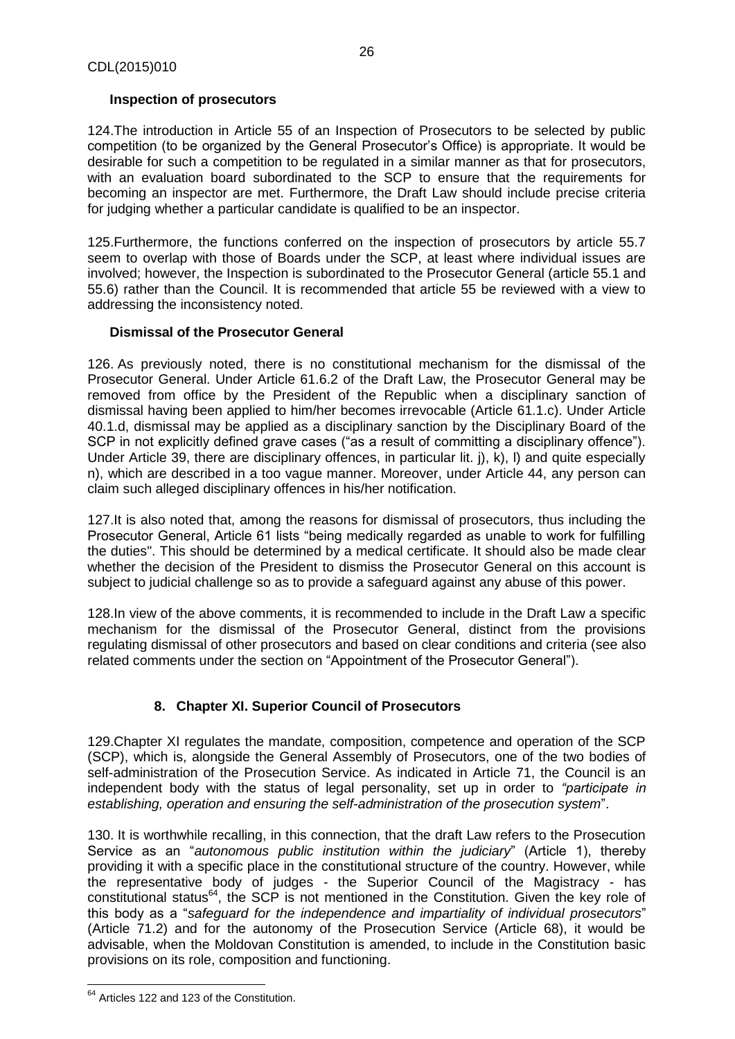# **Inspection of prosecutors**

124.The introduction in Article 55 of an Inspection of Prosecutors to be selected by public competition (to be organized by the General Prosecutor's Office) is appropriate. It would be desirable for such a competition to be regulated in a similar manner as that for prosecutors, with an evaluation board subordinated to the SCP to ensure that the requirements for becoming an inspector are met. Furthermore, the Draft Law should include precise criteria for judging whether a particular candidate is qualified to be an inspector.

125.Furthermore, the functions conferred on the inspection of prosecutors by article 55.7 seem to overlap with those of Boards under the SCP, at least where individual issues are involved; however, the Inspection is subordinated to the Prosecutor General (article 55.1 and 55.6) rather than the Council. It is recommended that article 55 be reviewed with a view to addressing the inconsistency noted.

# **Dismissal of the Prosecutor General**

126. As previously noted, there is no constitutional mechanism for the dismissal of the Prosecutor General. Under Article 61.6.2 of the Draft Law, the Prosecutor General may be removed from office by the President of the Republic when a disciplinary sanction of dismissal having been applied to him/her becomes irrevocable (Article 61.1.c). Under Article 40.1.d, dismissal may be applied as a disciplinary sanction by the Disciplinary Board of the SCP in not explicitly defined grave cases ("as a result of committing a disciplinary offence"). Under Article 39, there are disciplinary offences, in particular lit. j), k), l) and quite especially n), which are described in a too vague manner. Moreover, under Article 44, any person can claim such alleged disciplinary offences in his/her notification.

127.It is also noted that, among the reasons for dismissal of prosecutors, thus including the Prosecutor General, Article 61 lists "being medically regarded as unable to work for fulfilling the duties". This should be determined by a medical certificate. It should also be made clear whether the decision of the President to dismiss the Prosecutor General on this account is subject to judicial challenge so as to provide a safeguard against any abuse of this power.

128.In view of the above comments, it is recommended to include in the Draft Law a specific mechanism for the dismissal of the Prosecutor General, distinct from the provisions regulating dismissal of other prosecutors and based on clear conditions and criteria (see also related comments under the section on "Appointment of the Prosecutor General").

# **8. Chapter XI. Superior Council of Prosecutors**

<span id="page-25-0"></span>129.Chapter XI regulates the mandate, composition, competence and operation of the SCP (SCP), which is, alongside the General Assembly of Prosecutors, one of the two bodies of self-administration of the Prosecution Service. As indicated in Article 71, the Council is an independent body with the status of legal personality, set up in order to *"participate in establishing, operation and ensuring the self-administration of the prosecution system*".

130. It is worthwhile recalling, in this connection, that the draft Law refers to the Prosecution Service as an "*autonomous public institution within the judiciary*" (Article 1), thereby providing it with a specific place in the constitutional structure of the country. However, while the representative body of judges - the Superior Council of the Magistracy - has constitutional status<sup>64</sup>, the SCP is not mentioned in the Constitution. Given the key role of this body as a "*safeguard for the independence and impartiality of individual prosecutors*" (Article 71.2) and for the autonomy of the Prosecution Service (Article 68), it would be advisable, when the Moldovan Constitution is amended, to include in the Constitution basic provisions on its role, composition and functioning.

 $\overline{\phantom{a}}$ <sup>64</sup> Articles 122 and 123 of the Constitution.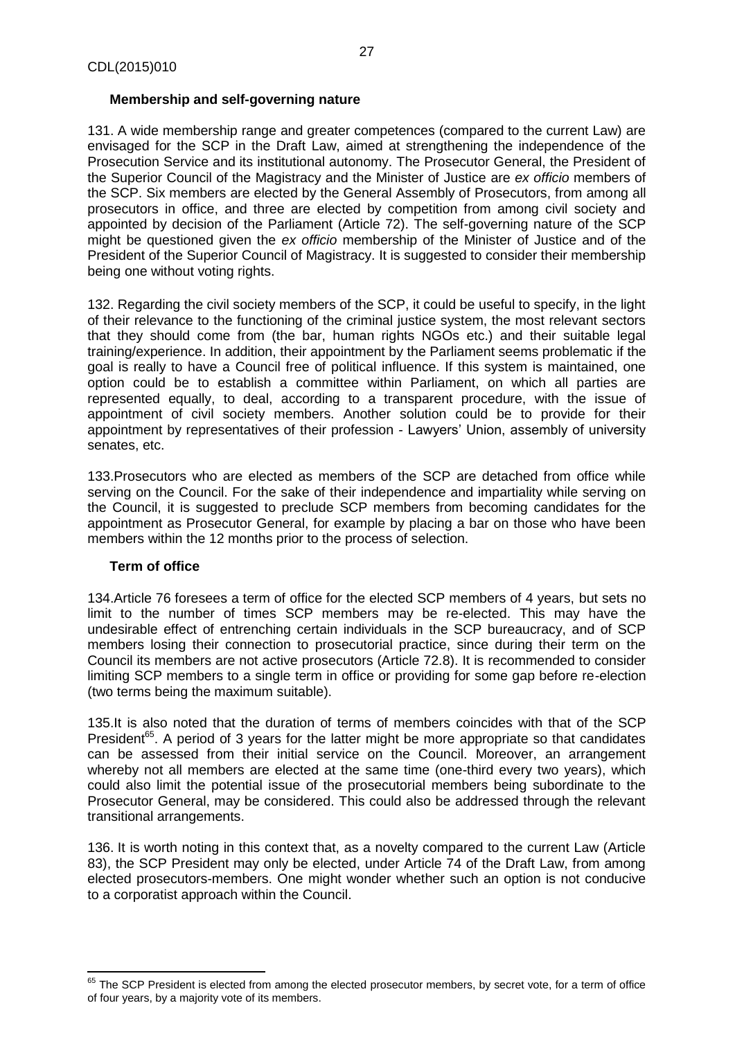#### **Membership and self-governing nature**

131. A wide membership range and greater competences (compared to the current Law) are envisaged for the SCP in the Draft Law, aimed at strengthening the independence of the Prosecution Service and its institutional autonomy. The Prosecutor General, the President of the Superior Council of the Magistracy and the Minister of Justice are *ex officio* members of the SCP. Six members are elected by the General Assembly of Prosecutors, from among all prosecutors in office, and three are elected by competition from among civil society and appointed by decision of the Parliament (Article 72). The self-governing nature of the SCP might be questioned given the *ex officio* membership of the Minister of Justice and of the President of the Superior Council of Magistracy. It is suggested to consider their membership being one without voting rights.

132. Regarding the civil society members of the SCP, it could be useful to specify, in the light of their relevance to the functioning of the criminal justice system, the most relevant sectors that they should come from (the bar, human rights NGOs etc.) and their suitable legal training/experience. In addition, their appointment by the Parliament seems problematic if the goal is really to have a Council free of political influence. If this system is maintained, one option could be to establish a committee within Parliament, on which all parties are represented equally, to deal, according to a transparent procedure, with the issue of appointment of civil society members. Another solution could be to provide for their appointment by representatives of their profession - Lawyers' Union, assembly of university senates, etc.

133.Prosecutors who are elected as members of the SCP are detached from office while serving on the Council. For the sake of their independence and impartiality while serving on the Council, it is suggested to preclude SCP members from becoming candidates for the appointment as Prosecutor General, for example by placing a bar on those who have been members within the 12 months prior to the process of selection.

# **Term of office**

l

134.Article 76 foresees a term of office for the elected SCP members of 4 years, but sets no limit to the number of times SCP members may be re-elected. This may have the undesirable effect of entrenching certain individuals in the SCP bureaucracy, and of SCP members losing their connection to prosecutorial practice, since during their term on the Council its members are not active prosecutors (Article 72.8). It is recommended to consider limiting SCP members to a single term in office or providing for some gap before re-election (two terms being the maximum suitable).

135.It is also noted that the duration of terms of members coincides with that of the SCP President<sup>65</sup>. A period of 3 years for the latter might be more appropriate so that candidates can be assessed from their initial service on the Council. Moreover, an arrangement whereby not all members are elected at the same time (one-third every two years), which could also limit the potential issue of the prosecutorial members being subordinate to the Prosecutor General, may be considered. This could also be addressed through the relevant transitional arrangements.

136. It is worth noting in this context that, as a novelty compared to the current Law (Article 83), the SCP President may only be elected, under Article 74 of the Draft Law, from among elected prosecutors-members. One might wonder whether such an option is not conducive to a corporatist approach within the Council.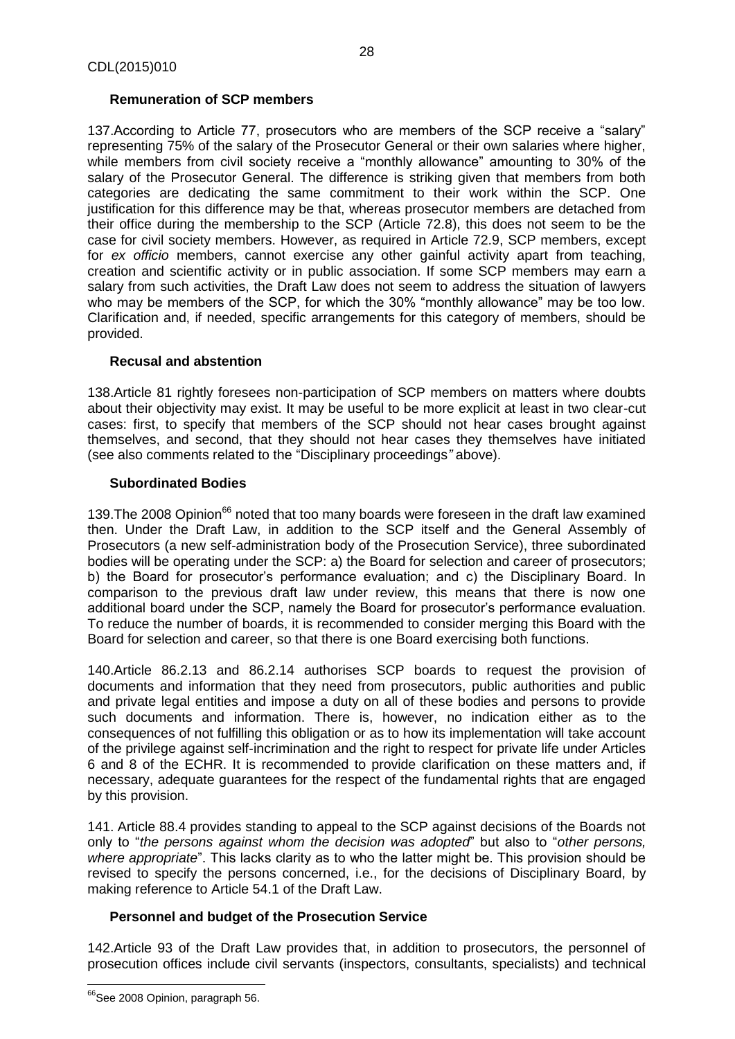# **Remuneration of SCP members**

137.According to Article 77, prosecutors who are members of the SCP receive a "salary" representing 75% of the salary of the Prosecutor General or their own salaries where higher, while members from civil society receive a "monthly allowance" amounting to 30% of the salary of the Prosecutor General. The difference is striking given that members from both categories are dedicating the same commitment to their work within the SCP. One justification for this difference may be that, whereas prosecutor members are detached from their office during the membership to the SCP (Article 72.8), this does not seem to be the case for civil society members. However, as required in Article 72.9, SCP members, except for *ex officio* members, cannot exercise any other gainful activity apart from teaching, creation and scientific activity or in public association. If some SCP members may earn a salary from such activities, the Draft Law does not seem to address the situation of lawyers who may be members of the SCP, for which the 30% "monthly allowance" may be too low. Clarification and, if needed, specific arrangements for this category of members, should be provided.

# **Recusal and abstention**

138.Article 81 rightly foresees non-participation of SCP members on matters where doubts about their objectivity may exist. It may be useful to be more explicit at least in two clear-cut cases: first, to specify that members of the SCP should not hear cases brought against themselves, and second, that they should not hear cases they themselves have initiated (see also comments related to the "Disciplinary proceedings*"* above).

# **Subordinated Bodies**

139. The 2008 Opinion<sup>66</sup> noted that too many boards were foreseen in the draft law examined then. Under the Draft Law, in addition to the SCP itself and the General Assembly of Prosecutors (a new self-administration body of the Prosecution Service), three subordinated bodies will be operating under the SCP: a) the Board for selection and career of prosecutors; b) the Board for prosecutor's performance evaluation; and c) the Disciplinary Board. In comparison to the previous draft law under review, this means that there is now one additional board under the SCP, namely the Board for prosecutor's performance evaluation. To reduce the number of boards, it is recommended to consider merging this Board with the Board for selection and career, so that there is one Board exercising both functions.

140.Article 86.2.13 and 86.2.14 authorises SCP boards to request the provision of documents and information that they need from prosecutors, public authorities and public and private legal entities and impose a duty on all of these bodies and persons to provide such documents and information. There is, however, no indication either as to the consequences of not fulfilling this obligation or as to how its implementation will take account of the privilege against self-incrimination and the right to respect for private life under Articles 6 and 8 of the ECHR. It is recommended to provide clarification on these matters and, if necessary, adequate guarantees for the respect of the fundamental rights that are engaged by this provision.

141. Article 88.4 provides standing to appeal to the SCP against decisions of the Boards not only to "*the persons against whom the decision was adopted*" but also to "*other persons,*  where *appropriate*". This lacks clarity as to who the latter might be. This provision should be revised to specify the persons concerned, i.e., for the decisions of Disciplinary Board, by making reference to Article 54.1 of the Draft Law.

# **Personnel and budget of the Prosecution Service**

142.Article 93 of the Draft Law provides that, in addition to prosecutors, the personnel of prosecution offices include civil servants (inspectors, consultants, specialists) and technical

 $\overline{\phantom{a}}$ <sup>66</sup>See 2008 Opinion, paragraph 56.